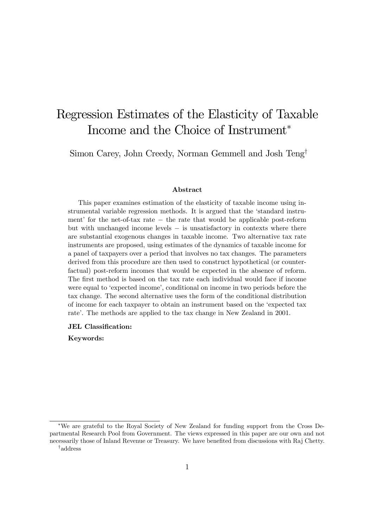# Regression Estimates of the Elasticity of Taxable Income and the Choice of Instrument<sup>∗</sup>

Simon Carey, John Creedy, Norman Gemmell and Josh Teng†

#### Abstract

This paper examines estimation of the elasticity of taxable income using instrumental variable regression methods. It is argued that the 'standard instrument' for the net-of-tax rate − the rate that would be applicable post-reform but with unchanged income levels − is unsatisfactory in contexts where there are substantial exogenous changes in taxable income. Two alternative tax rate instruments are proposed, using estimates of the dynamics of taxable income for a panel of taxpayers over a period that involves no tax changes. The parameters derived from this procedure are then used to construct hypothetical (or counterfactual) post-reform incomes that would be expected in the absence of reform. The first method is based on the tax rate each individual would face if income were equal to 'expected income', conditional on income in two periods before the tax change. The second alternative uses the form of the conditional distribution of income for each taxpayer to obtain an instrument based on the 'expected tax rate'. The methods are applied to the tax change in New Zealand in 2001.

#### JEL Classification:

Keywords:

<sup>∗</sup>We are grateful to the Royal Society of New Zealand for funding support from the Cross Departmental Research Pool from Government. The views expressed in this paper are our own and not necessarily those of Inland Revenue or Treasury. We have benefited from discussions with Raj Chetty. †address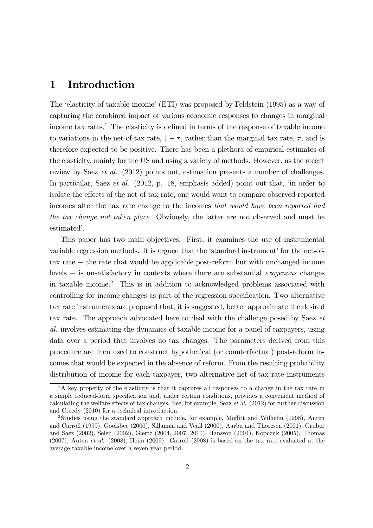### 1 Introduction

The 'elasticity of taxable income' (ETI) was proposed by Feldstein (1995) as a way of capturing the combined impact of various economic responses to changes in marginal income tax rates.<sup>1</sup> The elasticity is defined in terms of the response of taxable income to variations in the net-of-tax rate,  $1 - \tau$ , rather than the marginal tax rate,  $\tau$ , and is therefore expected to be positive. There has been a plethora of empirical estimates of the elasticity, mainly for the US and using a variety of methods. However, as the recent review by Saez et al. (2012) points out, estimation presents a number of challenges. In particular, Saez *et al.* (2012, p. 18, emphasis added) point out that, 'in order to isolate the effects of the net-of-tax rate, one would want to compare observed reported incomes after the tax rate change to the incomes that would have been reported had the tax change not taken place. Obviously, the latter are not observed and must be estimated'.

This paper has two main objectives. First, it examines the use of instrumental variable regression methods. It is argued that the 'standard instrument' for the net-oftax rate − the rate that would be applicable post-reform but with unchanged income levels − is unsatisfactory in contexts where there are substantial exogenous changes in taxable income.2 This is in addition to acknowledged problems associated with controlling for income changes as part of the regression specification. Two alternative tax rate instruments are proposed that, it is suggested, better approximate the desired tax rate. The approach advocated here to deal with the challenge posed by Saez et al. involves estimating the dynamics of taxable income for a panel of taxpayers, using data over a period that involves no tax changes. The parameters derived from this procedure are then used to construct hypothetical (or counterfactual) post-reform incomes that would be expected in the absence of reform. From the resulting probability distribution of income for each taxpayer, two alternative net-of-tax rate instruments

 $1<sup>1</sup>A$  key property of the elasticity is that it captures all responses to a change in the tax rate in a simple reduced-form specification and, under certain conditions, provides a convenient method of calculating the welfare effects of tax changes. See, for example, Seaz et al. (2012) for further discussion and Creedy (2010) for a technical introduction.

<sup>2</sup>Studies using the standard approach include, for example, Moffitt and Wilhelm (1998), Auten and Carroll (1999), Goolsbee (2000), Sillamaa and Veall (2000), Aarbu and Thoresen (2001), Gruber and Saez (2002), Selen (2002), Giertz (2004, 2007, 2010), Hansson (2004), Kopczuk (2005), Thomas  $(2007)$ , Auten *et al.*  $(2008)$ , Heim  $(2009)$ . Carroll  $(2008)$  is based on the tax rate evaluated at the average taxable income over a seven year period.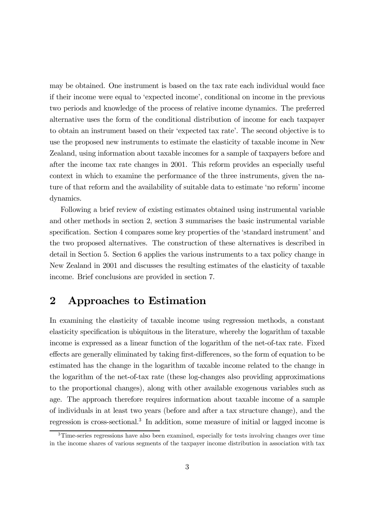may be obtained. One instrument is based on the tax rate each individual would face if their income were equal to 'expected income', conditional on income in the previous two periods and knowledge of the process of relative income dynamics. The preferred alternative uses the form of the conditional distribution of income for each taxpayer to obtain an instrument based on their 'expected tax rate'. The second objective is to use the proposed new instruments to estimate the elasticity of taxable income in New Zealand, using information about taxable incomes for a sample of taxpayers before and after the income tax rate changes in 2001. This reform provides an especially useful context in which to examine the performance of the three instruments, given the nature of that reform and the availability of suitable data to estimate 'no reform' income dynamics.

Following a brief review of existing estimates obtained using instrumental variable and other methods in section 2, section 3 summarises the basic instrumental variable specification. Section 4 compares some key properties of the 'standard instrument' and the two proposed alternatives. The construction of these alternatives is described in detail in Section 5. Section 6 applies the various instruments to a tax policy change in New Zealand in 2001 and discusses the resulting estimates of the elasticity of taxable income. Brief conclusions are provided in section 7.

# 2 Approaches to Estimation

In examining the elasticity of taxable income using regression methods, a constant elasticity specification is ubiquitous in the literature, whereby the logarithm of taxable income is expressed as a linear function of the logarithm of the net-of-tax rate. Fixed effects are generally eliminated by taking first-differences, so the form of equation to be estimated has the change in the logarithm of taxable income related to the change in the logarithm of the net-of-tax rate (these log-changes also providing approximations to the proportional changes), along with other available exogenous variables such as age. The approach therefore requires information about taxable income of a sample of individuals in at least two years (before and after a tax structure change), and the regression is cross-sectional.<sup>3</sup> In addition, some measure of initial or lagged income is

<sup>&</sup>lt;sup>3</sup>Time-series regressions have also been examined, especially for tests involving changes over time in the income shares of various segments of the taxpayer income distribution in association with tax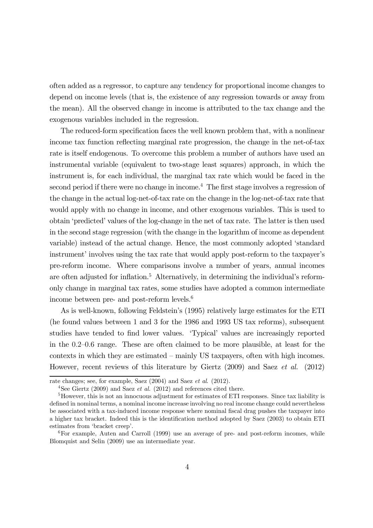often added as a regressor, to capture any tendency for proportional income changes to depend on income levels (that is, the existence of any regression towards or away from the mean). All the observed change in income is attributed to the tax change and the exogenous variables included in the regression.

The reduced-form specification faces the well known problem that, with a nonlinear income tax function reflecting marginal rate progression, the change in the net-of-tax rate is itself endogenous. To overcome this problem a number of authors have used an instrumental variable (equivalent to two-stage least squares) approach, in which the instrument is, for each individual, the marginal tax rate which would be faced in the second period if there were no change in income.<sup>4</sup> The first stage involves a regression of the change in the actual log-net-of-tax rate on the change in the log-net-of-tax rate that would apply with no change in income, and other exogenous variables. This is used to obtain 'predicted' values of the log-change in the net of tax rate. The latter is then used in the second stage regression (with the change in the logarithm of income as dependent variable) instead of the actual change. Hence, the most commonly adopted 'standard instrument' involves using the tax rate that would apply post-reform to the taxpayer's pre-reform income. Where comparisons involve a number of years, annual incomes are often adjusted for inflation.<sup>5</sup> Alternatively, in determining the individual's reformonly change in marginal tax rates, some studies have adopted a common intermediate income between pre- and post-reform levels.<sup>6</sup>

As is well-known, following Feldstein's (1995) relatively large estimates for the ETI (he found values between 1 and 3 for the 1986 and 1993 US tax reforms), subsequent studies have tended to find lower values. 'Typical' values are increasingly reported in the 02—06 range. These are often claimed to be more plausible, at least for the contexts in which they are estimated — mainly US taxpayers, often with high incomes. However, recent reviews of this literature by Giertz (2009) and Saez et al. (2012)

rate changes; see, for example, Saez (2004) and Saez et al. (2012).

<sup>&</sup>lt;sup>4</sup>See Giertz (2009) and Saez *et al.* (2012) and references cited there.

<sup>&</sup>lt;sup>5</sup>However, this is not an innocuous adjustment for estimates of ETI responses. Since tax liability is defined in nominal terms, a nominal income increase involving no real income change could nevertheless be associated with a tax-induced income response where nominal fiscal drag pushes the taxpayer into a higher tax bracket. Indeed this is the identification method adopted by Saez (2003) to obtain ETI estimates from 'bracket creep'.

 $6$ For example, Auten and Carroll (1999) use an average of pre- and post-reform incomes, while Blomquist and Selin (2009) use an intermediate year.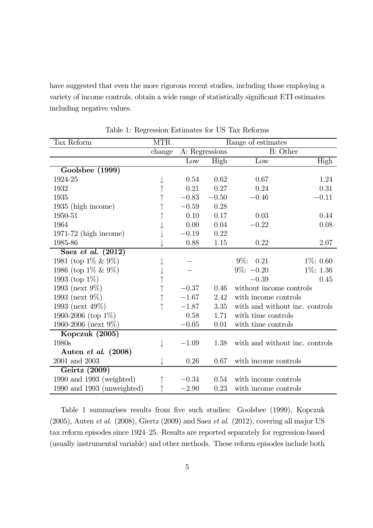have suggested that even the more rigorous recent studies, including those employing a variety of income controls, obtain a wide range of statistically significant ETI estimates including negative values.

| Tax Reform                 | <b>MTR</b> | Range of estimates |         |                                |             |  |
|----------------------------|------------|--------------------|---------|--------------------------------|-------------|--|
|                            | change     | A: Regressions     |         | <b>B:</b> Other                |             |  |
|                            |            | Low                | High    | Low                            | High        |  |
| Goolsbee (1999)            |            |                    |         |                                |             |  |
| 1924-25                    |            | 0.54               | 0.62    | 0.67                           | 1.24        |  |
| 1932                       |            | 0.21               | 0.27    | 0.24                           | 0.31        |  |
| 1935                       |            | $-0.83$            | $-0.50$ | $-0.46$                        | $-0.11$     |  |
| 1935 (high income)         |            | $-0.59$            | 0.28    |                                |             |  |
| 1950-51                    |            | 0.10               | 0.17    | 0.03                           | 0.44        |  |
| 1964                       |            | 0.00               | 0.04    | $-0.22$                        | 0.08        |  |
| $1971-72$ (high income)    |            | $-0.19$            | 0.22    |                                |             |  |
| 1985-86                    |            | 0.88               | 1.15    | 0.22                           | 2.07        |  |
| Saez et al. $(2012)$       |            |                    |         |                                |             |  |
| 1981 (top $1\% \& 9\%$ )   |            |                    |         | $9\%: 0.21$                    | $1\%: 0.60$ |  |
| 1986 (top $1\% \& 9\%$ )   |            |                    |         | $9\%: -0.20$                   | 1\%: 1.36   |  |
| 1993 (top $1\%$ )          |            |                    |         | $-0.39$                        | 0.45        |  |
| 1993 (next $9\%$ )         |            | $-0.37$            | 0.46    | without income controls        |             |  |
| 1993 (next $9\%$ )         |            | $-1.67$            | 2.42    | with income controls           |             |  |
| 1993 (next 49%)            |            | $-1.87$            | 3.35    | with and without inc. controls |             |  |
| 1960-2006 (top $1\%$ )     |            | 0.58               | 1.71    | with time controls             |             |  |
| 1960-2006 (next $9\%$ )    |            | $-0.05$            | 0.01    | with time controls             |             |  |
| Kopczuk (2005)             |            |                    |         |                                |             |  |
| 1980s                      |            | $-1.09$            | 1.38    | with and without inc. controls |             |  |
| Auten et al. (2008)        |            |                    |         |                                |             |  |
| 2001 and 2003              |            | 0.26               | 0.67    | with income controls           |             |  |
| Geirtz (2009)              |            |                    |         |                                |             |  |
| 1990 and 1993 (weighted)   |            | $-0.34$            | 0.54    | with income controls           |             |  |
| 1990 and 1993 (unweighted) |            | $-2.90$            | 0.23    | with income controls           |             |  |

Table 1: Regression Estimates for US Tax Reforms

Table 1 summarises results from five such studies: Goolsbee (1999), Kopczuk  $(2005)$ , Auten et al.  $(2008)$ , Giertz  $(2009)$  and Saez et al.  $(2012)$ , covering all major US tax reform episodes since 1924—25. Results are reported separately for regression-based (usually instrumental variable) and other methods. These reform episodes include both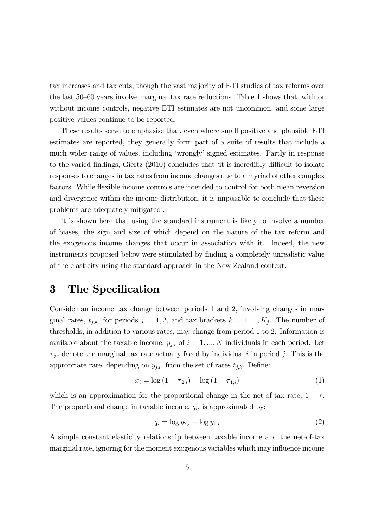tax increases and tax cuts, though the vast majority of ETI studies of tax reforms over the last 50—60 years involve marginal tax rate reductions. Table 1 shows that, with or without income controls, negative ETI estimates are not uncommon, and some large positive values continue to be reported.

These results serve to emphasise that, even where small positive and plausible ETI estimates are reported, they generally form part of a suite of results that include a much wider range of values, including 'wrongly' signed estimates. Partly in response to the varied findings, Giertz (2010) concludes that 'it is incredibly difficult to isolate responses to changes in tax rates from income changes due to a myriad of other complex factors. While flexible income controls are intended to control for both mean reversion and divergence within the income distribution, it is impossible to conclude that these problems are adequately mitigated'.

It is shown here that using the standard instrument is likely to involve a number of biases, the sign and size of which depend on the nature of the tax reform and the exogenous income changes that occur in association with it. Indeed, the new instruments proposed below were stimulated by finding a completely unrealistic value of the elasticity using the standard approach in the New Zealand context.

## 3 The Specification

Consider an income tax change between periods 1 and 2, involving changes in marginal rates,  $t_{j,k}$ , for periods  $j = 1, 2$ , and tax brackets  $k = 1, ..., K_j$ . The number of thresholds, in addition to various rates, may change from period 1 to 2. Information is available about the taxable income,  $y_{j,i}$  of  $i = 1, ..., N$  individuals in each period. Let  $\tau_{j,i}$  denote the marginal tax rate actually faced by individual i in period j. This is the appropriate rate, depending on  $y_{j,i}$ , from the set of rates  $t_{j,k}$ . Define:

$$
x_i = \log(1 - \tau_{2,i}) - \log(1 - \tau_{1,i})
$$
\n(1)

which is an approximation for the proportional change in the net-of-tax rate,  $1 - \tau$ . The proportional change in taxable income,  $q_i$ , is approximated by:

$$
q_i = \log y_{2,i} - \log y_{1,i} \tag{2}
$$

A simple constant elasticity relationship between taxable income and the net-of-tax marginal rate, ignoring for the moment exogenous variables which may influence income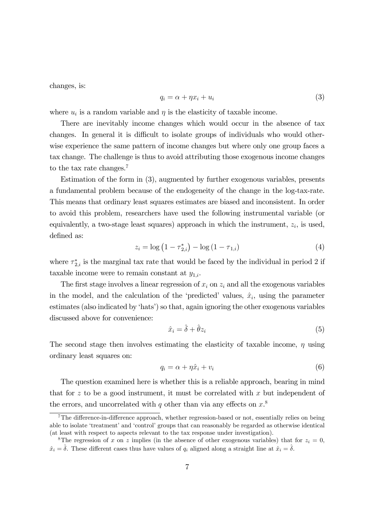changes, is:

$$
q_i = \alpha + \eta x_i + u_i \tag{3}
$$

where  $u_i$  is a random variable and  $\eta$  is the elasticity of taxable income.

There are inevitably income changes which would occur in the absence of tax changes. In general it is difficult to isolate groups of individuals who would otherwise experience the same pattern of income changes but where only one group faces a tax change. The challenge is thus to avoid attributing those exogenous income changes to the tax rate changes.<sup>7</sup>

Estimation of the form in (3), augmented by further exogenous variables, presents a fundamental problem because of the endogeneity of the change in the log-tax-rate. This means that ordinary least squares estimates are biased and inconsistent. In order to avoid this problem, researchers have used the following instrumental variable (or equivalently, a two-stage least squares) approach in which the instrument,  $z_i$ , is used, defined as:

$$
z_i = \log(1 - \tau_{2,i}^*) - \log(1 - \tau_{1,i})
$$
\n(4)

where  $\tau_{2,i}^*$  is the marginal tax rate that would be faced by the individual in period 2 if taxable income were to remain constant at  $y_{1,i}$ .

The first stage involves a linear regression of  $x_i$  on  $z_i$  and all the exogenous variables in the model, and the calculation of the 'predicted' values,  $\hat{x}_i$ , using the parameter estimates (also indicated by 'hats') so that, again ignoring the other exogenous variables discussed above for convenience:

$$
\hat{x}_i = \hat{\delta} + \hat{\theta} z_i \tag{5}
$$

The second stage then involves estimating the elasticity of taxable income,  $\eta$  using ordinary least squares on:

$$
q_i = \alpha + \eta \hat{x}_i + v_i \tag{6}
$$

The question examined here is whether this is a reliable approach, bearing in mind that for  $z$  to be a good instrument, it must be correlated with  $x$  but independent of the errors, and uncorrelated with q other than via any effects on  $x$ <sup>8</sup>.

<sup>&</sup>lt;sup>7</sup>The difference-in-difference approach, whether regression-based or not, essentially relies on being able to isolate 'treatment' and 'control' groups that can reasonably be regarded as otherwise identical (at least with respect to aspects relevant to the tax response under investigation).

<sup>&</sup>lt;sup>8</sup>The regression of x on z implies (in the absence of other exogenous variables) that for  $z_i = 0$ ,  $\hat{x}_i = \hat{\delta}$ . These different cases thus have values of  $q_i$  aligned along a straight line at  $\hat{x}_i = \hat{\delta}$ .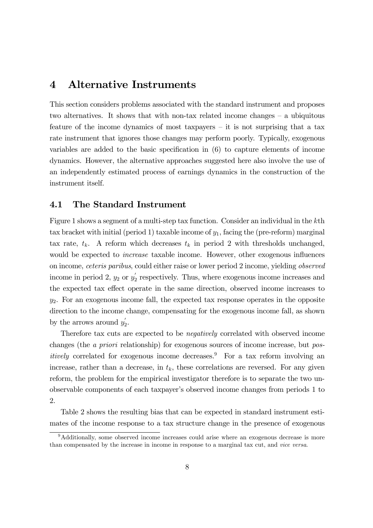### 4 Alternative Instruments

This section considers problems associated with the standard instrument and proposes two alternatives. It shows that with non-tax related income changes — a ubiquitous feature of the income dynamics of most taxpayers — it is not surprising that a tax rate instrument that ignores those changes may perform poorly. Typically, exogenous variables are added to the basic specification in (6) to capture elements of income dynamics. However, the alternative approaches suggested here also involve the use of an independently estimated process of earnings dynamics in the construction of the instrument itself.

#### 4.1 The Standard Instrument

Figure 1 shows a segment of a multi-step tax function. Consider an individual in the kth tax bracket with initial (period 1) taxable income of  $y_1$ , facing the (pre-reform) marginal tax rate,  $t_k$ . A reform which decreases  $t_k$  in period 2 with thresholds unchanged, would be expected to *increase* taxable income. However, other exogenous influences on income, ceteris paribus, could either raise or lower period 2 income, yielding observed income in period 2,  $y_2$  or  $y_2'$  respectively. Thus, where exogenous income increases and the expected tax effect operate in the same direction, observed income increases to  $y_2$ . For an exogenous income fall, the expected tax response operates in the opposite direction to the income change, compensating for the exogenous income fall, as shown by the arrows around  $y_2'$ .

Therefore tax cuts are expected to be negatively correlated with observed income changes (the a priori relationship) for exogenous sources of income increase, but pos*itively* correlated for exogenous income decreases.<sup>9</sup> For a tax reform involving an increase, rather than a decrease, in  $t_k$ , these correlations are reversed. For any given reform, the problem for the empirical investigator therefore is to separate the two unobservable components of each taxpayer's observed income changes from periods 1 to 2.

Table 2 shows the resulting bias that can be expected in standard instrument estimates of the income response to a tax structure change in the presence of exogenous

<sup>&</sup>lt;sup>9</sup>Additionally, some observed income increases could arise where an exogenous decrease is more than compensated by the increase in income in response to a marginal tax cut, and vice versa.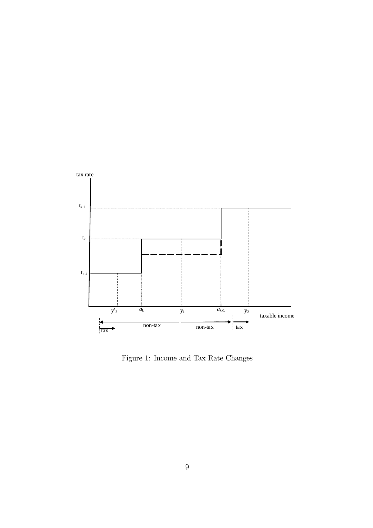

Figure 1: Income and Tax Rate Changes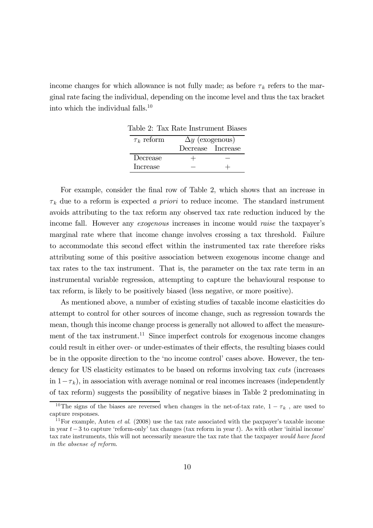income changes for which allowance is not fully made; as before  $\tau_k$  refers to the marginal rate facing the individual, depending on the income level and thus the tax bracket into which the individual falls.<sup>10</sup>

| $\tau_k$ reform | $\Delta y$ (exogenous) |  |
|-----------------|------------------------|--|
|                 | Decrease Increase      |  |
| Decrease        | $+$                    |  |
| Increase        |                        |  |
|                 |                        |  |

Table 2: Tax Rate Instrument Biases

For example, consider the final row of Table 2, which shows that an increase in  $\tau_k$  due to a reform is expected a priori to reduce income. The standard instrument avoids attributing to the tax reform any observed tax rate reduction induced by the income fall. However any exogenous increases in income would raise the taxpayer's marginal rate where that income change involves crossing a tax threshold. Failure to accommodate this second effect within the instrumented tax rate therefore risks attributing some of this positive association between exogenous income change and tax rates to the tax instrument. That is, the parameter on the tax rate term in an instrumental variable regression, attempting to capture the behavioural response to tax reform, is likely to be positively biased (less negative, or more positive).

As mentioned above, a number of existing studies of taxable income elasticities do attempt to control for other sources of income change, such as regression towards the mean, though this income change process is generally not allowed to affect the measurement of the tax instrument.<sup>11</sup> Since imperfect controls for exogenous income changes could result in either over- or under-estimates of their effects, the resulting biases could be in the opposite direction to the 'no income control' cases above. However, the tendency for US elasticity estimates to be based on reforms involving tax *cuts* (increases in  $1-\tau_k$ ), in association with average nominal or real incomes increases (independently of tax reform) suggests the possibility of negative biases in Table 2 predominating in

<sup>&</sup>lt;sup>10</sup>The signs of the biases are reversed when changes in the net-of-tax rate,  $1 - \tau_k$ , are used to capture responses.

<sup>&</sup>lt;sup>11</sup>For example, Auten *et al.* (2008) use the tax rate associated with the paxpayer's taxable income in year  $t-3$  to capture 'reform-only' tax changes (tax reform in year t). As with other 'initial income' tax rate instruments, this will not necessarily measure the tax rate that the taxpayer would have faced in the absense of reform.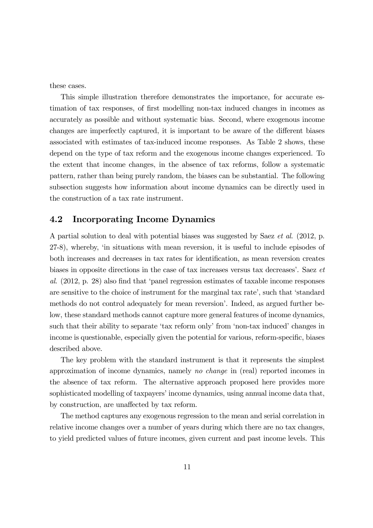these cases.

This simple illustration therefore demonstrates the importance, for accurate estimation of tax responses, of first modelling non-tax induced changes in incomes as accurately as possible and without systematic bias. Second, where exogenous income changes are imperfectly captured, it is important to be aware of the different biases associated with estimates of tax-induced income responses. As Table 2 shows, these depend on the type of tax reform and the exogenous income changes experienced. To the extent that income changes, in the absence of tax reforms, follow a systematic pattern, rather than being purely random, the biases can be substantial. The following subsection suggests how information about income dynamics can be directly used in the construction of a tax rate instrument.

#### 4.2 Incorporating Income Dynamics

A partial solution to deal with potential biases was suggested by Saez et al. (2012, p. 27-8), whereby, 'in situations with mean reversion, it is useful to include episodes of both increases and decreases in tax rates for identification, as mean reversion creates biases in opposite directions in the case of tax increases versus tax decreases'. Saez et al. (2012, p. 28) also find that 'panel regression estimates of taxable income responses are sensitive to the choice of instrument for the marginal tax rate', such that 'standard methods do not control adequately for mean reversion'. Indeed, as argued further below, these standard methods cannot capture more general features of income dynamics, such that their ability to separate 'tax reform only' from 'non-tax induced' changes in income is questionable, especially given the potential for various, reform-specific, biases described above.

The key problem with the standard instrument is that it represents the simplest approximation of income dynamics, namely no change in (real) reported incomes in the absence of tax reform. The alternative approach proposed here provides more sophisticated modelling of taxpayers' income dynamics, using annual income data that, by construction, are unaffected by tax reform.

The method captures any exogenous regression to the mean and serial correlation in relative income changes over a number of years during which there are no tax changes, to yield predicted values of future incomes, given current and past income levels. This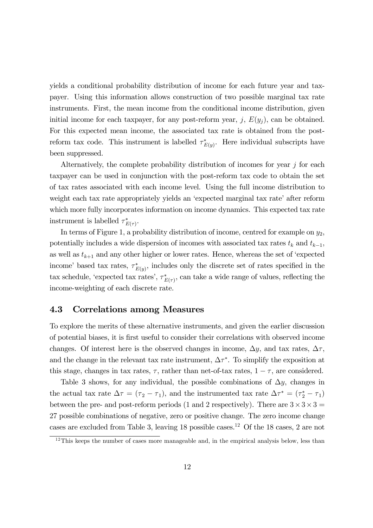yields a conditional probability distribution of income for each future year and taxpayer. Using this information allows construction of two possible marginal tax rate instruments. First, the mean income from the conditional income distribution, given initial income for each taxpayer, for any post-reform year, j,  $E(y_i)$ , can be obtained. For this expected mean income, the associated tax rate is obtained from the postreform tax code. This instrument is labelled  $\tau_{E(y)}^*$ . Here individual subscripts have been suppressed.

Alternatively, the complete probability distribution of incomes for year  $j$  for each taxpayer can be used in conjunction with the post-reform tax code to obtain the set of tax rates associated with each income level. Using the full income distribution to weight each tax rate appropriately yields an 'expected marginal tax rate' after reform which more fully incorporates information on income dynamics. This expected tax rate instrument is labelled  $\tau_{E(\tau)}^*$ .

In terms of Figure 1, a probability distribution of income, centred for example on  $y_2$ , potentially includes a wide dispersion of incomes with associated tax rates  $t_k$  and  $t_{k-1}$ , as well as  $t_{k+1}$  and any other higher or lower rates. Hence, whereas the set of 'expected income' based tax rates,  $\tau_{E(y)}^*$ , includes only the discrete set of rates specified in the tax schedule, 'expected tax rates',  $\tau_{E(\tau)}^*$ , can take a wide range of values, reflecting the income-weighting of each discrete rate.

#### 4.3 Correlations among Measures

To explore the merits of these alternative instruments, and given the earlier discussion of potential biases, it is first useful to consider their correlations with observed income changes. Of interest here is the observed changes in income,  $\Delta y$ , and tax rates,  $\Delta \tau$ , and the change in the relevant tax rate instrument,  $\Delta \tau^*$ . To simplify the exposition at this stage, changes in tax rates,  $\tau$ , rather than net-of-tax rates,  $1 - \tau$ , are considered.

Table 3 shows, for any individual, the possible combinations of  $\Delta y$ , changes in the actual tax rate  $\Delta \tau = (\tau_2 - \tau_1)$ , and the instrumented tax rate  $\Delta \tau^* = (\tau_2^* - \tau_1)$ between the pre- and post-reform periods (1 and 2 respectively). There are  $3 \times 3 \times 3 =$ 27 possible combinations of negative, zero or positive change. The zero income change cases are excluded from Table 3, leaving 18 possible cases.12 Of the 18 cases, 2 are not

 $12$ This keeps the number of cases more manageable and, in the empirical analysis below, less than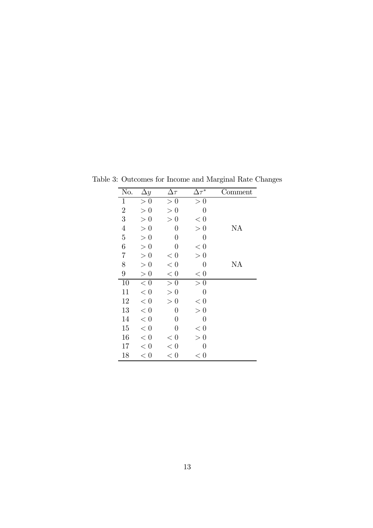| No.              | $\Delta y$ | $\Delta \tau$      | $\Delta \tau^*$  | Comment |
|------------------|------------|--------------------|------------------|---------|
| $\mathbf 1$      | > 0        | > 0                | > 0              |         |
| $\overline{2}$   | > 0        | > 0                | $\overline{0}$   |         |
| 3                | > 0        | $\theta$<br>$\geq$ | < 0              |         |
| $\overline{4}$   | > 0        | $\overline{0}$     | > 0              | ΝA      |
| $\overline{5}$   | > 0        | $\theta$           | $\overline{0}$   |         |
| 6                | > 0        | $\theta$           | < 0              |         |
| $\overline{7}$   | > 0        | $< 0\,$            | > 0              |         |
| 8                | > 0        | $< 0\,$            | $\overline{0}$   | ΝA      |
| $\boldsymbol{9}$ | > 0        | $< 0\,$            | $< 0$            |         |
| 10               | < 0        | > 0                | > 0              |         |
| 11               | $< 0\,$    | > 0                | $\overline{0}$   |         |
| 12               | $< 0\,$    | > 0                | $< 0$            |         |
| 13               | $< 0\,$    | $\overline{0}$     | > 0              |         |
| 14               | < 0        | $\overline{0}$     | $\boldsymbol{0}$ |         |
| 15               | < 0        | $\overline{0}$     | < 0              |         |
| 16               | < 0        | < 0                | > 0              |         |
| 17               | < 0        | $< 0\,$            | $\boldsymbol{0}$ |         |
| 18               | < 0        | < 0                | < 0              |         |

Table 3: Outcomes for Income and Marginal Rate Changes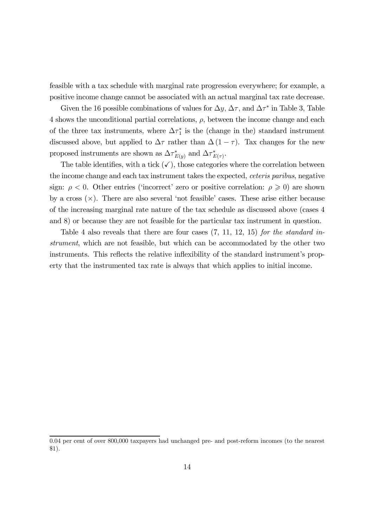feasible with a tax schedule with marginal rate progression everywhere; for example, a positive income change cannot be associated with an actual marginal tax rate decrease.

Given the 16 possible combinations of values for  $\Delta y$ ,  $\Delta \tau$ , and  $\Delta \tau^*$  in Table 3, Table  $4$  shows the unconditional partial correlations,  $\rho$ , between the income change and each of the three tax instruments, where  $\Delta \tau_1^*$  is the (change in the) standard instrument discussed above, but applied to  $\Delta \tau$  rather than  $\Delta (1 - \tau)$ . Tax changes for the new proposed instruments are shown as  $\Delta \tau_{E(y)}^*$  and  $\Delta \tau_{E(\tau)}^*$ .

The table identifies, with a tick  $(\checkmark)$ , those categories where the correlation between the income change and each tax instrument takes the expected, *ceteris paribus*, negative sign:  $\rho < 0$ . Other entries ('incorrect' zero or positive correlation:  $\rho \geq 0$ ) are shown by a cross  $(\times)$ . There are also several 'not feasible' cases. These arise either because of the increasing marginal rate nature of the tax schedule as discussed above (cases 4 and 8) or because they are not feasible for the particular tax instrument in question.

Table 4 also reveals that there are four cases  $(7, 11, 12, 15)$  for the standard instrument, which are not feasible, but which can be accommodated by the other two instruments. This reflects the relative inflexibility of the standard instrument's property that the instrumented tax rate is always that which applies to initial income.

<sup>0.04</sup> per cent of over 800,000 taxpayers had unchanged pre- and post-reform incomes (to the nearest \$1).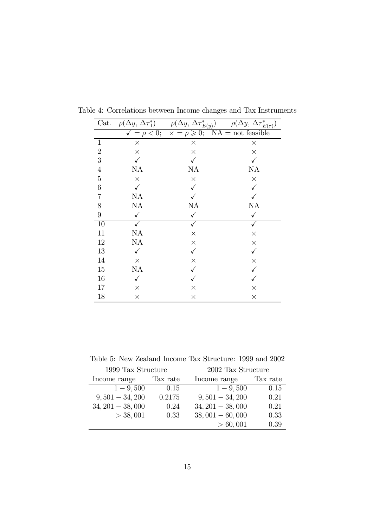| Cat.             | $\rho(\Delta y, \Delta \tau_1^*)$ | $\rho(\Delta y, \Delta \tau_{E(y)}^*)$                                        | $\rho(\Delta y, \overline{\Delta \tau_{E(\tau)}^*})$ |
|------------------|-----------------------------------|-------------------------------------------------------------------------------|------------------------------------------------------|
|                  |                                   | $\sqrt{\phantom{0}} = \rho < 0; \quad \sqrt{\phantom{0}} = \rho \geqslant 0;$ | $NA = not feasible$                                  |
| $\mathbf{1}$     | $\times$                          | $\times$                                                                      | $\times$                                             |
| $\sqrt{2}$       | $\times$                          | $\times$                                                                      | $\times$                                             |
| $\sqrt{3}$       |                                   |                                                                               |                                                      |
| $\,4\,$          | NA                                | NA                                                                            | NA                                                   |
| $\mathbf 5$      | $\times$                          | $\times$                                                                      | $\times$                                             |
| $\,6$            |                                   |                                                                               |                                                      |
| $\overline{7}$   | NA                                |                                                                               |                                                      |
| $8\,$            | $\rm NA$                          | NA                                                                            | ΝA                                                   |
| $\boldsymbol{9}$ | $\checkmark$                      | $\checkmark$                                                                  | $\checkmark$                                         |
| 10               |                                   | $\checkmark$                                                                  | $\checkmark$                                         |
| $11\,$           | NA                                | $\times$                                                                      | $\times$                                             |
| $12\,$           | NA                                | $\times$                                                                      | $\times$                                             |
| 13               | $\checkmark$                      | $\checkmark$                                                                  | $\checkmark$                                         |
| 14               | $\times$                          | $\times$                                                                      | $\times$                                             |
| 15               | NA                                |                                                                               |                                                      |
| 16               | $\checkmark$                      |                                                                               |                                                      |
| 17               | $\times$                          | $\times$                                                                      | $\times$                                             |
| 18               | $\times$                          | $\times$                                                                      | $\times$                                             |

Table 4: Correlations between Income changes and Tax Instruments

Table 5: New Zealand Income Tax Structure: 1999 and 2002

|                   | 1999 Tax Structure |                   | 2002 Tax Structure |  |  |
|-------------------|--------------------|-------------------|--------------------|--|--|
|                   |                    |                   |                    |  |  |
| Income range      | Tax rate           | Income range      | Tax rate           |  |  |
| $1 - 9,500$       | 0.15               | $1 - 9,500$       | 0.15               |  |  |
| $9,501 - 34,200$  | 0.2175             | $9,501 - 34,200$  | 0.21               |  |  |
| $34,201 - 38,000$ | 0.24               | $34,201 - 38,000$ | 0.21               |  |  |
| $>$ 38, 001       | 0.33               | $38,001 - 60,000$ | 0.33               |  |  |
|                   |                    | > 60,001          | 0.39               |  |  |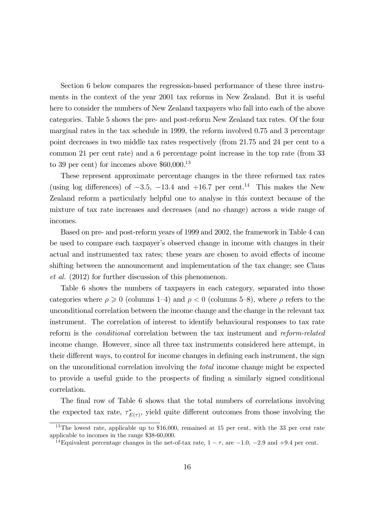Section 6 below compares the regression-based performance of these three instruments in the context of the year 2001 tax reforms in New Zealand. But it is useful here to consider the numbers of New Zealand taxpayers who fall into each of the above categories. Table 5 shows the pre- and post-reform New Zealand tax rates. Of the four marginal rates in the tax schedule in 1999, the reform involved 0.75 and 3 percentage point decreases in two middle tax rates respectively (from 21.75 and 24 per cent to a common 21 per cent rate) and a 6 percentage point increase in the top rate (from 33 to 39 per cent) for incomes above  $$60,000$ <sup>13</sup>

These represent approximate percentage changes in the three reformed tax rates (using log differences) of  $-3.5$ ,  $-13.4$  and  $+16.7$  per cent.<sup>14</sup> This makes the New Zealand reform a particularly helpful one to analyse in this context because of the mixture of tax rate increases and decreases (and no change) across a wide range of incomes.

Based on pre- and post-reform years of 1999 and 2002, the framework in Table 4 can be used to compare each taxpayer's observed change in income with changes in their actual and instrumented tax rates; these years are chosen to avoid effects of income shifting between the announcement and implementation of the tax change; see Claus et al. (2012) for further discussion of this phenomenon.

Table 6 shows the numbers of taxpayers in each category, separated into those categories where  $\rho \geq 0$  (columns 1–4) and  $\rho < 0$  (columns 5–8), where  $\rho$  refers to the unconditional correlation between the income change and the change in the relevant tax instrument. The correlation of interest to identify behavioural responses to tax rate reform is the conditional correlation between the tax instrument and reform-related income change. However, since all three tax instruments considered here attempt, in their different ways, to control for income changes in defining each instrument, the sign on the unconditional correlation involving the total income change might be expected to provide a useful guide to the prospects of finding a similarly signed conditional correlation.

The final row of Table 6 shows that the total numbers of correlations involving the expected tax rate,  $\tau_{E(\tau)}^*$ , yield quite different outcomes from those involving the

<sup>&</sup>lt;sup>13</sup>The lowest rate, applicable up to \$16,000, remained at 15 per cent, with the 33 per cent rate applicable to incomes in the range \$38-60,000.

<sup>&</sup>lt;sup>14</sup>Equivalent percentage changes in the net-of-tax rate,  $1 - \tau$ , are  $-1.0$ ,  $-2.9$  and  $+9.4$  per cent.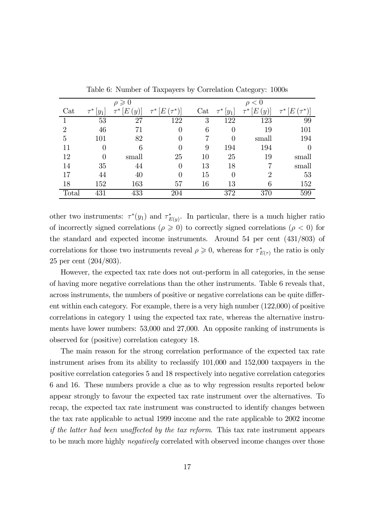|                      |                     | $\rho \geqslant 0$ |                     |     |         | $\rho < 0$         |               |
|----------------------|---------------------|--------------------|---------------------|-----|---------|--------------------|---------------|
| $\operatorname{Cat}$ | $\tau^*$<br>$ y_1 $ | E<br>y)            | $\tau^*[E(\tau^*)]$ | Cat | $ y_1 $ | E<br>$\mathcal{Y}$ | E<br>$\tau^*$ |
|                      | 53                  | 27                 | 122                 | 3   | 122     | 123                | 99            |
| $\mathfrak{D}$       | 46                  | 71                 | 0                   | 6   |         | 19                 | 101           |
| 5                    | 101                 | 82                 | $\left( \right)$    |     |         | small              | 194           |
| 11                   |                     | 6                  |                     | 9   | 194     | 194                |               |
| 12                   | $\left( \right)$    | small              | 25                  | 10  | 25      | 19                 | small         |
| 14                   | 35                  | 44                 | $\Omega$            | 13  | 18      |                    | small         |
| 17                   | 44                  | 40                 | 0                   | 15  |         | $\mathfrak{D}$     | 53            |
| 18                   | 152                 | 163                | 57                  | 16  | 13      | 6                  | 152           |
| Total                | 431                 | 433                | 204                 |     | 372     | 370                | 599           |

Table 6: Number of Taxpayers by Correlation Category: 1000s

other two instruments:  $\tau^*(y_1)$  and  $\tau^*_{E(y)}$ . In particular, there is a much higher ratio of incorrectly signed correlations ( $\rho \geq 0$ ) to correctly signed correlations ( $\rho < 0$ ) for the standard and expected income instruments. Around 54 per cent (431/803) of correlations for those two instruments reveal  $\rho \geq 0$ , whereas for  $\tau^*_{E(\tau)}$  the ratio is only 25 per cent (204/803).

However, the expected tax rate does not out-perform in all categories, in the sense of having more negative correlations than the other instruments. Table 6 reveals that, across instruments, the numbers of positive or negative correlations can be quite different within each category. For example, there is a very high number (122,000) of positive correlations in category 1 using the expected tax rate, whereas the alternative instruments have lower numbers: 53,000 and 27,000. An opposite ranking of instruments is observed for (positive) correlation category 18.

The main reason for the strong correlation performance of the expected tax rate instrument arises from its ability to reclassify 101,000 and 152,000 taxpayers in the positive correlation categories 5 and 18 respectively into negative correlation categories 6 and 16. These numbers provide a clue as to why regression results reported below appear strongly to favour the expected tax rate instrument over the alternatives. To recap, the expected tax rate instrument was constructed to identify changes between the tax rate applicable to actual 1999 income and the rate applicable to 2002 income if the latter had been unaffected by the tax reform. This tax rate instrument appears to be much more highly *negatively* correlated with observed income changes over those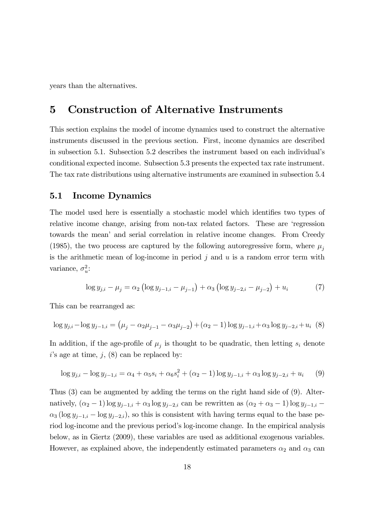years than the alternatives.

### 5 Construction of Alternative Instruments

This section explains the model of income dynamics used to construct the alternative instruments discussed in the previous section. First, income dynamics are described in subsection 5.1. Subsection 5.2 describes the instrument based on each individual's conditional expected income. Subsection 5.3 presents the expected tax rate instrument. The tax rate distributions using alternative instruments are examined in subsection 5.4

#### 5.1 Income Dynamics

The model used here is essentially a stochastic model which identifies two types of relative income change, arising from non-tax related factors. These are 'regression towards the mean' and serial correlation in relative income changes. From Creedy (1985), the two process are captured by the following autoregressive form, where  $\mu_i$ is the arithmetic mean of log-income in period  $j$  and  $u$  is a random error term with variance,  $\sigma_u^2$ :

$$
\log y_{j,i} - \mu_j = \alpha_2 \left( \log y_{j-1,i} - \mu_{j-1} \right) + \alpha_3 \left( \log y_{j-2,i} - \mu_{j-2} \right) + u_i \tag{7}
$$

This can be rearranged as:

$$
\log y_{j,i} - \log y_{j-1,i} = (\mu_j - \alpha_2 \mu_{j-1} - \alpha_3 \mu_{j-2}) + (\alpha_2 - 1) \log y_{j-1,i} + \alpha_3 \log y_{j-2,i} + u_i \tag{8}
$$

In addition, if the age-profile of  $\mu_i$  is thought to be quadratic, then letting  $s_i$  denote  $i$ 's age at time,  $j$ ,  $(8)$  can be replaced by:

$$
\log y_{j,i} - \log y_{j-1,i} = \alpha_4 + \alpha_5 s_i + \alpha_6 s_i^2 + (\alpha_2 - 1) \log y_{j-1,i} + \alpha_3 \log y_{j-2,i} + u_i \tag{9}
$$

Thus (3) can be augmented by adding the terms on the right hand side of (9). Alternatively,  $(\alpha_2 - 1) \log y_{j-1,i} + \alpha_3 \log y_{j-2,i}$  can be rewritten as  $(\alpha_2 + \alpha_3 - 1) \log y_{j-1,i}$  $\alpha_3$  (log  $y_{i-1,i}$  – log  $y_{i-2,i}$ ), so this is consistent with having terms equal to the base period log-income and the previous period's log-income change. In the empirical analysis below, as in Giertz (2009), these variables are used as additional exogenous variables. However, as explained above, the independently estimated parameters  $\alpha_2$  and  $\alpha_3$  can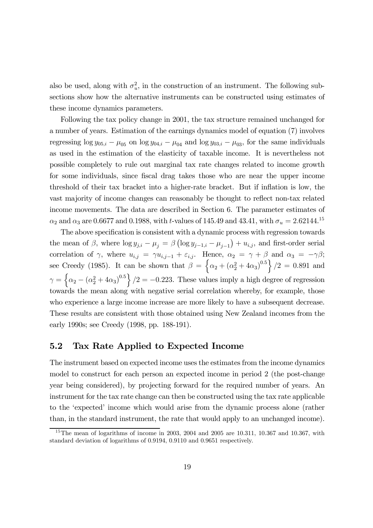also be used, along with  $\sigma_u^2$ , in the construction of an instrument. The following subsections show how the alternative instruments can be constructed using estimates of these income dynamics parameters.

Following the tax policy change in 2001, the tax structure remained unchanged for a number of years. Estimation of the earnings dynamics model of equation (7) involves regressing  $\log y_{05,i} - \mu_{05}$  on  $\log y_{04,i} - \mu_{04}$  and  $\log y_{03,i} - \mu_{03}$ , for the same individuals as used in the estimation of the elasticity of taxable income. It is nevertheless not possible completely to rule out marginal tax rate changes related to income growth for some individuals, since fiscal drag takes those who are near the upper income threshold of their tax bracket into a higher-rate bracket. But if inflation is low, the vast majority of income changes can reasonably be thought to reflect non-tax related income movements. The data are described in Section 6. The parameter estimates of  $\alpha_2$  and  $\alpha_3$  are 0.6677 and 0.1988, with t-values of 145.49 and 43.41, with  $\sigma_u = 2.62144.^{15}$ 

The above specification is consistent with a dynamic process with regression towards the mean of  $\beta$ , where  $\log y_{j,i} - \mu_j = \beta (\log y_{j-1,i} - \mu_{j-1}) + u_{i,j}$ , and first-order serial correlation of  $\gamma$ , where  $u_{i,j} = \gamma u_{i,j-1} + \varepsilon_{i,j}$ . Hence,  $\alpha_2 = \gamma + \beta$  and  $\alpha_3 = -\gamma\beta$ ; see Creedy (1985). It can be shown that  $\beta = \left\{ \alpha_2 + (\alpha_2^2 + 4\alpha_3)^{0.5} \right\} / 2 = 0.891$  and  $\gamma = \left\{\alpha_2 - (\alpha_2^2 + 4\alpha_3)^{0.5}\right\}/2 = -0.223$ . These values imply a high degree of regression towards the mean along with negative serial correlation whereby, for example, those who experience a large income increase are more likely to have a subsequent decrease. These results are consistent with those obtained using New Zealand incomes from the early 1990s; see Creedy (1998, pp. 188-191).

#### 5.2 Tax Rate Applied to Expected Income

The instrument based on expected income uses the estimates from the income dynamics model to construct for each person an expected income in period 2 (the post-change year being considered), by projecting forward for the required number of years. An instrument for the tax rate change can then be constructed using the tax rate applicable to the 'expected' income which would arise from the dynamic process alone (rather than, in the standard instrument, the rate that would apply to an unchanged income).

<sup>&</sup>lt;sup>15</sup>The mean of logarithms of income in 2003, 2004 and 2005 are 10.311, 10.367 and 10.367, with standard deviation of logarithms of 0.9194, 0.9110 and 0.9651 respectively.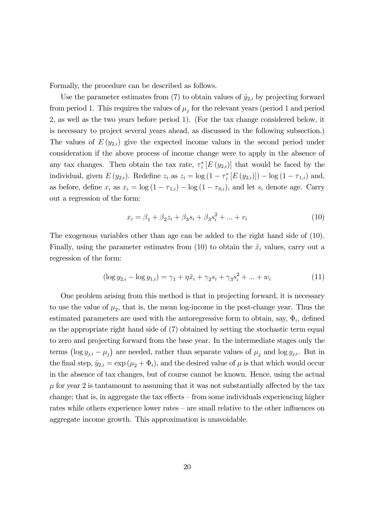Formally, the procedure can be described as follows.

Use the parameter estimates from (7) to obtain values of  $\hat{y}_{2,i}$  by projecting forward from period 1. This requires the values of  $\mu_i$  for the relevant years (period 1 and period 2, as well as the two years before period 1). (For the tax change considered below, it is necessary to project several years ahead, as discussed in the following subsection.) The values of  $E(y_{2,i})$  give the expected income values in the second period under consideration if the above process of income change were to apply in the absence of any tax changes. Then obtain the tax rate,  $\tau_i^*[E(y_{2,i})]$  that would be faced by the individual, given  $E(y_{2,i})$ . Redefine  $z_i$  as  $z_i = \log(1 - \tau_i^* [E(y_{2,i})]) - \log(1 - \tau_{1,i})$  and, as before, define  $x_i$  as  $x_i = \log(1 - \tau_{1,i}) - \log(1 - \tau_{0,i})$ , and let  $s_i$  denote age. Carry out a regression of the form:

$$
x_i = \beta_1 + \beta_2 z_i + \beta_3 s_i + \beta_3 s_i^2 + \dots + v_i \tag{10}
$$

The exogenous variables other than age can be added to the right hand side of (10). Finally, using the parameter estimates from  $(10)$  to obtain the  $\hat{x}_i$  values, carry out a regression of the form:

$$
(\log y_{2,i} - \log y_{1,i}) = \gamma_1 + \eta \hat{x}_i + \gamma_2 s_i + \gamma_3 s_i^2 + \dots + w_i \tag{11}
$$

One problem arising from this method is that in projecting forward, it is necessary to use the value of  $\mu_2$ , that is, the mean log-income in the post-change year. Thus the estimated parameters are used with the autoregressive form to obtain, say,  $\Phi_i$ , defined as the appropriate right hand side of (7) obtained by setting the stochastic term equal to zero and projecting forward from the base year. In the intermediate stages only the terms  $(\log y_{j,i} - \mu_j)$  are needed, rather than separate values of  $\mu_j$  and  $\log y_{j,i}$ . But in the final step,  $\hat{y}_{2,i} = \exp{(\mu_2 + \Phi_i)}$ , and the desired value of  $\mu$  is that which would occur in the absence of tax changes, but of course cannot be known. Hence, using the actual  $\mu$  for year 2 is tantamount to assuming that it was not substantially affected by the tax change; that is, in aggregate the tax effects — from some individuals experiencing higher rates while others experience lower rates — are small relative to the other influences on aggregate income growth. This approximation is unavoidable.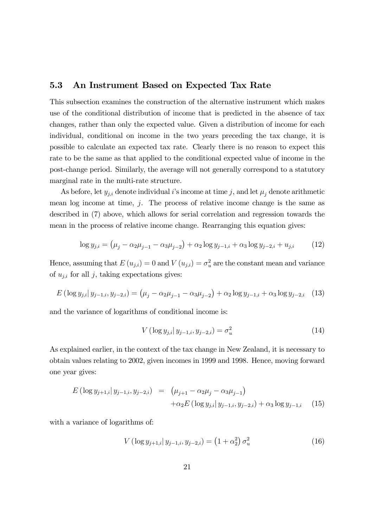### 5.3 An Instrument Based on Expected Tax Rate

This subsection examines the construction of the alternative instrument which makes use of the conditional distribution of income that is predicted in the absence of tax changes, rather than only the expected value. Given a distribution of income for each individual, conditional on income in the two years preceding the tax change, it is possible to calculate an expected tax rate. Clearly there is no reason to expect this rate to be the same as that applied to the conditional expected value of income in the post-change period. Similarly, the average will not generally correspond to a statutory marginal rate in the multi-rate structure.

As before, let  $y_{j,i}$  denote individual i's income at time j, and let  $\mu_i$  denote arithmetic mean log income at time,  $j$ . The process of relative income change is the same as described in (7) above, which allows for serial correlation and regression towards the mean in the process of relative income change. Rearranging this equation gives:

$$
\log y_{j,i} = (\mu_j - \alpha_2 \mu_{j-1} - \alpha_3 \mu_{j-2}) + \alpha_2 \log y_{j-1,i} + \alpha_3 \log y_{j-2,i} + u_{j,i} \tag{12}
$$

Hence, assuming that  $E(u_{j,i}) = 0$  and  $V(u_{j,i}) = \sigma_u^2$  are the constant mean and variance of  $u_{j,i}$  for all j, taking expectations gives:

$$
E\left(\log y_{j,i} | y_{j-1,i}, y_{j-2,i}\right) = \left(\mu_j - \alpha_2 \mu_{j-1} - \alpha_3 \mu_{j-2}\right) + \alpha_2 \log y_{j-1,i} + \alpha_3 \log y_{j-2,i} \quad (13)
$$

and the variance of logarithms of conditional income is:

$$
V(\log y_{j,i} | y_{j-1,i}, y_{j-2,i}) = \sigma_u^2 \tag{14}
$$

As explained earlier, in the context of the tax change in New Zealand, it is necessary to obtain values relating to 2002, given incomes in 1999 and 1998. Hence, moving forward one year gives:

$$
E\left(\log y_{j+1,i} | y_{j-1,i}, y_{j-2,i}\right) = \left(\mu_{j+1} - \alpha_2 \mu_j - \alpha_3 \mu_{j-1}\right) + \alpha_2 E\left(\log y_{j,i} | y_{j-1,i}, y_{j-2,i}\right) + \alpha_3 \log y_{j-1,i} \tag{15}
$$

with a variance of logarithms of:

$$
V(\log y_{j+1,i} | y_{j-1,i}, y_{j-2,i}) = (1 + \alpha_2^2) \sigma_u^2 \tag{16}
$$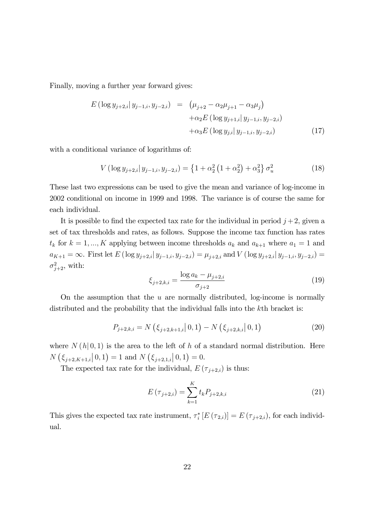Finally, moving a further year forward gives:

$$
E\left(\log y_{j+2,i} | y_{j-1,i}, y_{j-2,i}\right) = \left(\mu_{j+2} - \alpha_2 \mu_{j+1} - \alpha_3 \mu_j\right) + \alpha_2 E\left(\log y_{j+1,i} | y_{j-1,i}, y_{j-2,i}\right) + \alpha_3 E\left(\log y_{j,i} | y_{j-1,i}, y_{j-2,i}\right)
$$
(17)

with a conditional variance of logarithms of:

$$
V(\log y_{j+2,i}|y_{j-1,i}, y_{j-2,i}) = \left\{1 + \alpha_2^2 \left(1 + \alpha_2^2\right) + \alpha_3^2\right\} \sigma_u^2 \tag{18}
$$

These last two expressions can be used to give the mean and variance of log-income in 2002 conditional on income in 1999 and 1998. The variance is of course the same for each individual.

It is possible to find the expected tax rate for the individual in period  $j+2$ , given a set of tax thresholds and rates, as follows. Suppose the income tax function has rates  $t_k$  for  $k = 1, ..., K$  applying between income thresholds  $a_k$  and  $a_{k+1}$  where  $a_1 = 1$  and  $a_{K+1} = \infty$ . First let  $E(\log y_{j+2,i} | y_{j-1,i}, y_{j-2,i}) = \mu_{j+2,i}$  and  $V(\log y_{j+2,i} | y_{j-1,i}, y_{j-2,i}) =$  $\sigma_{j+2}^2$ , with:

$$
\xi_{j+2,k,i} = \frac{\log a_k - \mu_{j+2,i}}{\sigma_{j+2}}
$$
\n(19)

On the assumption that the  $u$  are normally distributed, log-income is normally distributed and the probability that the individual falls into the k<sup>th</sup> bracket is:

$$
P_{j+2,k,i} = N\left(\xi_{j+2,k+1,i} | 0,1\right) - N\left(\xi_{j+2,k,i} | 0,1\right) \tag{20}
$$

where  $N(h | 0, 1)$  is the area to the left of h of a standard normal distribution. Here  $N\left(\xi_{j+2,K+1,i} | 0,1\right) = 1$  and  $N\left(\xi_{j+2,1,i} | 0,1\right) = 0$ .

The expected tax rate for the individual,  $E(\tau_{j+2,i})$  is thus:

$$
E(\tau_{j+2,i}) = \sum_{k=1}^{K} t_k P_{j+2,k,i}
$$
 (21)

This gives the expected tax rate instrument,  $\tau_i^*$  [ $E(\tau_{2,i})$ ] =  $E(\tau_{j+2,i})$ , for each individual.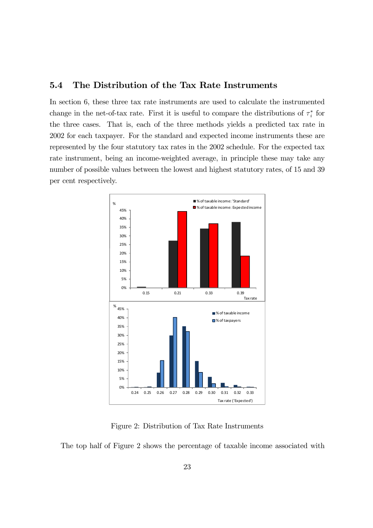### 5.4 The Distribution of the Tax Rate Instruments

In section 6, these three tax rate instruments are used to calculate the instrumented change in the net-of-tax rate. First it is useful to compare the distributions of  $\tau_i^*$  for the three cases. That is, each of the three methods yields a predicted tax rate in 2002 for each taxpayer. For the standard and expected income instruments these are represented by the four statutory tax rates in the 2002 schedule. For the expected tax rate instrument, being an income-weighted average, in principle these may take any number of possible values between the lowest and highest statutory rates, of 15 and 39 per cent respectively.



Figure 2: Distribution of Tax Rate Instruments

The top half of Figure 2 shows the percentage of taxable income associated with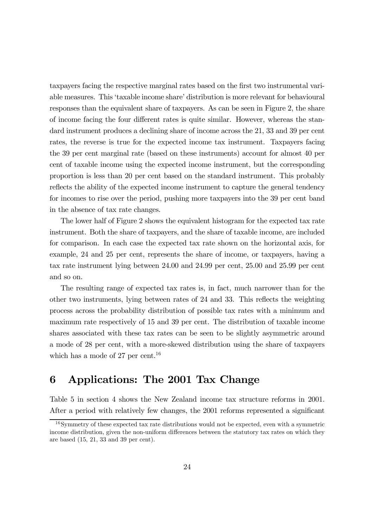taxpayers facing the respective marginal rates based on the first two instrumental variable measures. This 'taxable income share' distribution is more relevant for behavioural responses than the equivalent share of taxpayers. As can be seen in Figure 2, the share of income facing the four different rates is quite similar. However, whereas the standard instrument produces a declining share of income across the 21, 33 and 39 per cent rates, the reverse is true for the expected income tax instrument. Taxpayers facing the 39 per cent marginal rate (based on these instruments) account for almost 40 per cent of taxable income using the expected income instrument, but the corresponding proportion is less than 20 per cent based on the standard instrument. This probably reflects the ability of the expected income instrument to capture the general tendency for incomes to rise over the period, pushing more taxpayers into the 39 per cent band in the absence of tax rate changes.

The lower half of Figure 2 shows the equivalent histogram for the expected tax rate instrument. Both the share of taxpayers, and the share of taxable income, are included for comparison. In each case the expected tax rate shown on the horizontal axis, for example, 24 and 25 per cent, represents the share of income, or taxpayers, having a tax rate instrument lying between 24.00 and 24.99 per cent, 25.00 and 25.99 per cent and so on.

The resulting range of expected tax rates is, in fact, much narrower than for the other two instruments, lying between rates of 24 and 33. This reflects the weighting process across the probability distribution of possible tax rates with a minimum and maximum rate respectively of 15 and 39 per cent. The distribution of taxable income shares associated with these tax rates can be seen to be slightly asymmetric around a mode of 28 per cent, with a more-skewed distribution using the share of taxpayers which has a mode of 27 per cent.<sup>16</sup>

## 6 Applications: The 2001 Tax Change

Table 5 in section 4 shows the New Zealand income tax structure reforms in 2001. After a period with relatively few changes, the 2001 reforms represented a significant

<sup>16</sup>Symmetry of these expected tax rate distributions would not be expected, even with a symmetric income distribution, given the non-uniform differences between the statutory tax rates on which they are based (15, 21, 33 and 39 per cent).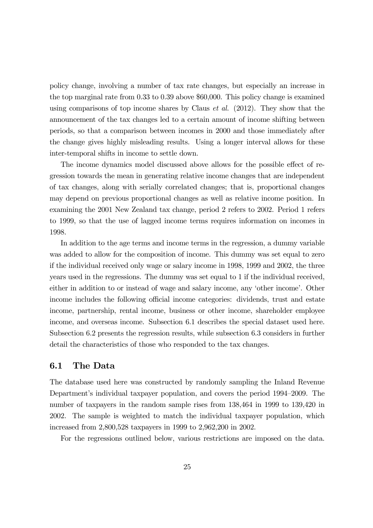policy change, involving a number of tax rate changes, but especially an increase in the top marginal rate from 0.33 to 0.39 above \$60,000. This policy change is examined using comparisons of top income shares by Claus *et al.* (2012). They show that the announcement of the tax changes led to a certain amount of income shifting between periods, so that a comparison between incomes in 2000 and those immediately after the change gives highly misleading results. Using a longer interval allows for these inter-temporal shifts in income to settle down.

The income dynamics model discussed above allows for the possible effect of regression towards the mean in generating relative income changes that are independent of tax changes, along with serially correlated changes; that is, proportional changes may depend on previous proportional changes as well as relative income position. In examining the 2001 New Zealand tax change, period 2 refers to 2002. Period 1 refers to 1999, so that the use of lagged income terms requires information on incomes in 1998.

In addition to the age terms and income terms in the regression, a dummy variable was added to allow for the composition of income. This dummy was set equal to zero if the individual received only wage or salary income in 1998, 1999 and 2002, the three years used in the regressions. The dummy was set equal to 1 if the individual received, either in addition to or instead of wage and salary income, any 'other income'. Other income includes the following official income categories: dividends, trust and estate income, partnership, rental income, business or other income, shareholder employee income, and overseas income. Subsection 6.1 describes the special dataset used here. Subsection 6.2 presents the regression results, while subsection 6.3 considers in further detail the characteristics of those who responded to the tax changes.

#### 6.1 The Data

The database used here was constructed by randomly sampling the Inland Revenue Department's individual taxpayer population, and covers the period 1994—2009. The number of taxpayers in the random sample rises from 138,464 in 1999 to 139,420 in 2002. The sample is weighted to match the individual taxpayer population, which increased from 2,800,528 taxpayers in 1999 to 2,962,200 in 2002.

For the regressions outlined below, various restrictions are imposed on the data.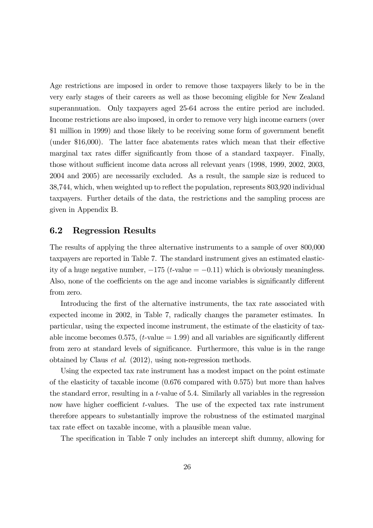Age restrictions are imposed in order to remove those taxpayers likely to be in the very early stages of their careers as well as those becoming eligible for New Zealand superannuation. Only taxpayers aged 25-64 across the entire period are included. Income restrictions are also imposed, in order to remove very high income earners (over \$1 million in 1999) and those likely to be receiving some form of government benefit (under \$16,000). The latter face abatements rates which mean that their effective marginal tax rates differ significantly from those of a standard taxpayer. Finally, those without sufficient income data across all relevant years (1998, 1999, 2002, 2003, 2004 and 2005) are necessarily excluded. As a result, the sample size is reduced to 38,744, which, when weighted up to reflect the population, represents 803,920 individual taxpayers. Further details of the data, the restrictions and the sampling process are given in Appendix B.

#### 6.2 Regression Results

The results of applying the three alternative instruments to a sample of over 800,000 taxpayers are reported in Table 7. The standard instrument gives an estimated elasticity of a huge negative number,  $-175$  (*t*-value =  $-0.11$ ) which is obviously meaningless. Also, none of the coefficients on the age and income variables is significantly different from zero.

Introducing the first of the alternative instruments, the tax rate associated with expected income in 2002, in Table 7, radically changes the parameter estimates. In particular, using the expected income instrument, the estimate of the elasticity of taxable income becomes 0.575,  $(t$ -value  $= 1.99$ ) and all variables are significantly different from zero at standard levels of significance. Furthermore, this value is in the range obtained by Claus et al. (2012), using non-regression methods.

Using the expected tax rate instrument has a modest impact on the point estimate of the elasticity of taxable income (0.676 compared with 0.575) but more than halves the standard error, resulting in a  $t$ -value of 5.4. Similarly all variables in the regression now have higher coefficient *t*-values. The use of the expected tax rate instrument therefore appears to substantially improve the robustness of the estimated marginal tax rate effect on taxable income, with a plausible mean value.

The specification in Table 7 only includes an intercept shift dummy, allowing for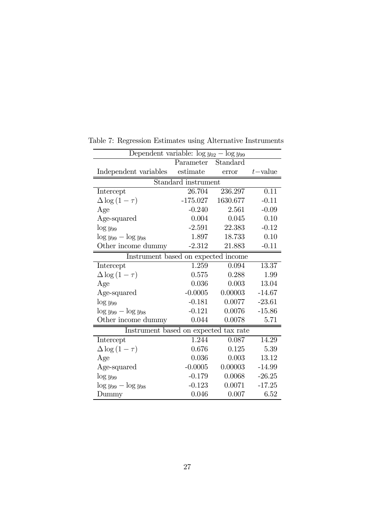| Dependent variable: $\log y_{02} - \log y_{99}$ |                                     |          |            |  |  |
|-------------------------------------------------|-------------------------------------|----------|------------|--|--|
|                                                 | Parameter Standard                  |          |            |  |  |
| Independent variables                           | estimate                            | error    | $t$ -value |  |  |
|                                                 | Standard instrument                 |          |            |  |  |
| Intercept                                       | 26.704                              | 236.297  | 0.11       |  |  |
| $\Delta \log(1-\tau)$                           | $-175.027$                          | 1630.677 | $-0.11$    |  |  |
| Age                                             | $-0.240$                            | 2.561    | $-0.09$    |  |  |
| Age-squared                                     | 0.004                               | 0.045    | 0.10       |  |  |
| $\log y_{99}$                                   | $-2.591$                            | 22.383   | $-0.12$    |  |  |
| $\log y_{99} - \log y_{98}$                     | 1.897                               | 18.733   | 0.10       |  |  |
| Other income dummy                              | $-2.312$                            | 21.883   | $-0.11$    |  |  |
|                                                 | Instrument based on expected income |          |            |  |  |
| Intercept                                       | 1.259                               | 0.094    | 13.37      |  |  |
| $\Delta \log(1-\tau)$                           | 0.575                               | 0.288    | 1.99       |  |  |
| Age                                             | 0.036                               | 0.003    | 13.04      |  |  |
| Age-squared                                     | $-0.0005$                           | 0.00003  | $-14.67$   |  |  |
| $\log y_{99}$                                   | $-0.181$                            | 0.0077   | $-23.61$   |  |  |
| $\log y_{99} - \log y_{98}$                     | $-0.121$                            | 0.0076   | $-15.86$   |  |  |
| Other income dummy                              | 0.044                               | 0.0078   | 5.71       |  |  |
| Instrument based on expected tax rate           |                                     |          |            |  |  |
| Intercept                                       | 1.244                               | 0.087    | 14.29      |  |  |
| $\Delta \log(1-\tau)$                           | 0.676                               | 0.125    | 5.39       |  |  |
| Age                                             | 0.036                               | 0.003    | 13.12      |  |  |
| Age-squared                                     | $-0.0005$                           | 0.00003  | $-14.99$   |  |  |
| $\log y_{99}$                                   | $-0.179$                            | 0.0068   | $-26.25$   |  |  |
| $\log y_{99} - \log y_{98}$                     | $-0.123$                            | 0.0071   | $-17.25$   |  |  |
| Dummy                                           | 0.046                               | 0.007    | 6.52       |  |  |

Table 7: Regression Estimates using Alternative Instruments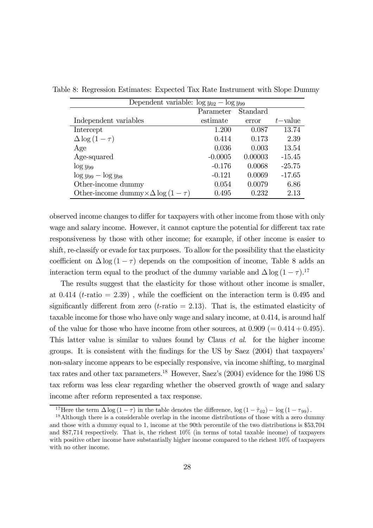| Dependent variable: $\log y_{02} - \log y_{99}$  |           |          |             |
|--------------------------------------------------|-----------|----------|-------------|
|                                                  | Parameter | Standard |             |
| Independent variables                            | estimate  | error    | $t$ – value |
| Intercept                                        | 1.200     | 0.087    | 13.74       |
| $\Delta \log(1-\tau)$                            | 0.414     | 0.173    | 2.39        |
| Age                                              | 0.036     | 0.003    | 13.54       |
| Age-squared                                      | $-0.0005$ | 0.00003  | $-15.45$    |
| $\log y_{99}$                                    | $-0.176$  | 0.0068   | $-25.75$    |
| $\log y_{99} - \log y_{98}$                      | $-0.121$  | 0.0069   | $-17.65$    |
| Other-income dummy                               | 0.054     | 0.0079   | 6.86        |
| Other-income dummy $\times \Delta \log (1-\tau)$ | 0.495     | 0.232    | 2.13        |

Table 8: Regression Estimates: Expected Tax Rate Instrument with Slope Dummy

observed income changes to differ for taxpayers with other income from those with only wage and salary income. However, it cannot capture the potential for different tax rate responsiveness by those with other income; for example, if other income is easier to shift, re-classify or evade for tax purposes. To allow for the possibility that the elasticity coefficient on  $\Delta \log (1 - \tau)$  depends on the composition of income, Table 8 adds an interaction term equal to the product of the dummy variable and  $\Delta \log (1 - \tau)$ .<sup>17</sup>

The results suggest that the elasticity for those without other income is smaller, at 0.414 ( $t$ -ratio = 2.39), while the coefficient on the interaction term is 0.495 and significantly different from zero ( $t$ -ratio = 2.13). That is, the estimated elasticity of taxable income for those who have only wage and salary income, at 0.414, is around half of the value for those who have income from other sources, at  $0.909 (= 0.414 + 0.495)$ . This latter value is similar to values found by Claus *et al.* for the higher income groups. It is consistent with the findings for the US by Saez (2004) that taxpayers' non-salary income appears to be especially responsive, via income shifting, to marginal tax rates and other tax parameters.<sup>18</sup> However, Saez's (2004) evidence for the 1986 US tax reform was less clear regarding whether the observed growth of wage and salary income after reform represented a tax response.

<sup>&</sup>lt;sup>17</sup>Here the term  $\Delta \log (1 - \tau)$  in the table denotes the difference,  $\log (1 - \hat{\tau}_{02}) - \log (1 - \tau_{99})$ .<br><sup>18</sup>Although there is a considerable overlap in the income distributions of those with a zero dummy

and those with a dummy equal to 1, income at the 90th percentile of the two distributions is \$53,704 and \$87,714 respectively. That is, the richest 10% (in terms of total taxable income) of taxpayers with positive other income have substantially higher income compared to the richest  $10\%$  of taxpayers with no other income.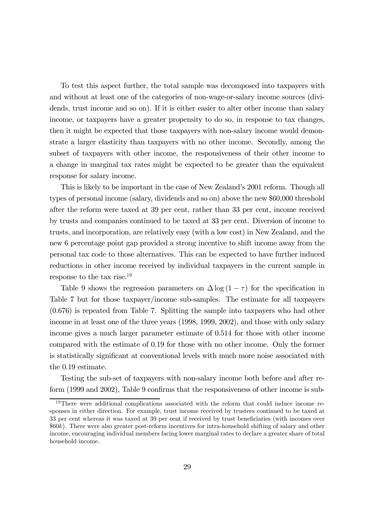To test this aspect further, the total sample was decomposed into taxpayers with and without at least one of the categories of non-wage-or-salary income sources (dividends, trust income and so on). If it is either easier to alter other income than salary income, or taxpayers have a greater propensity to do so, in response to tax changes, then it might be expected that those taxpayers with non-salary income would demonstrate a larger elasticity than taxpayers with no other income. Secondly, among the subset of taxpayers with other income, the responsiveness of their other income to a change in marginal tax rates might be expected to be greater than the equivalent response for salary income.

This is likely to be important in the case of New Zealand's 2001 reform. Though all types of personal income (salary, dividends and so on) above the new \$60,000 threshold after the reform were taxed at 39 per cent, rather than 33 per cent, income received by trusts and companies continued to be taxed at 33 per cent. Diversion of income to trusts, and incorporation, are relatively easy (with a low cost) in New Zealand, and the new 6 percentage point gap provided a strong incentive to shift income away from the personal tax code to those alternatives. This can be expected to have further induced reductions in other income received by individual taxpayers in the current sample in response to the tax rise.19

Table 9 shows the regression parameters on  $\Delta \log (1 - \tau)$  for the specification in Table 7 but for those taxpayer/income sub-samples. The estimate for all taxpayers (0.676) is repeated from Table 7. Splitting the sample into taxpayers who had other income in at least one of the three years (1998, 1999, 2002), and those with only salary income gives a much larger parameter estimate of 0.514 for those with other income compared with the estimate of 0.19 for those with no other income. Only the former is statistically significant at conventional levels with much more noise associated with the 0.19 estimate.

Testing the sub-set of taxpayers with non-salary income both before and after reform (1999 and 2002), Table 9 confirms that the responsiveness of other income is sub-

<sup>&</sup>lt;sup>19</sup>There were additional complications associated with the reform that could induce income responses in either direction. For example, trust income received by trustees continued to be taxed at 33 per cent whereas it was taxed at 39 per cent if received by trust beneficiaries (with incomes over \$60k). There were also greater post-reform incentives for intra-household shifting of salary and other income, encouraging individual members facing lower marginal rates to declare a greater share of total household income.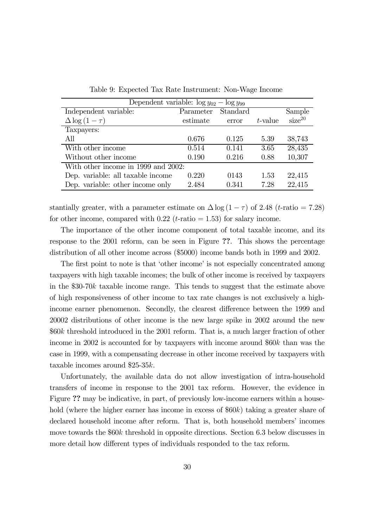|                                     | Dependent variable: $\log y_{02} - \log y_{99}$ |          |         |                    |  |
|-------------------------------------|-------------------------------------------------|----------|---------|--------------------|--|
| Independent variable:               | Parameter                                       | Standard |         | Sample             |  |
| $\Delta \log(1-\tau)$               | estimate                                        | error    | t-value | size <sup>20</sup> |  |
| Taxpayers:                          |                                                 |          |         |                    |  |
| All                                 | 0.676                                           | 0.125    | 5.39    | 38,743             |  |
| With other income                   | 0.514                                           | 0.141    | 3.65    | 28,435             |  |
| Without other income                | 0.190                                           | 0.216    | 0.88    | 10,307             |  |
| With other income in 1999 and 2002: |                                                 |          |         |                    |  |
| Dep. variable: all taxable income   | 0.220                                           | 0143     | 1.53    | 22,415             |  |
| Dep. variable: other income only    | 2.484                                           | 0.341    | 7.28    | 22,415             |  |

Table 9: Expected Tax Rate Instrument: Non-Wage Income

stantially greater, with a parameter estimate on  $\Delta \log (1 - \tau)$  of 2.48 (t-ratio = 7.28) for other income, compared with  $0.22$  (*t*-ratio = 1.53) for salary income.

The importance of the other income component of total taxable income, and its response to the 2001 reform, can be seen in Figure ??. This shows the percentage distribution of all other income across (\$5000) income bands both in 1999 and 2002.

The first point to note is that 'other income' is not especially concentrated among taxpayers with high taxable incomes; the bulk of other income is received by taxpayers in the  $$30-70k$  taxable income range. This tends to suggest that the estimate above of high responsiveness of other income to tax rate changes is not exclusively a highincome earner phenomenon. Secondly, the clearest difference between the 1999 and 20002 distributions of other income is the new large spike in 2002 around the new  $660k$  threshold introduced in the 2001 reform. That is, a much larger fraction of other income in 2002 is accounted for by taxpayers with income around  $660k$  than was the case in 1999, with a compensating decrease in other income received by taxpayers with taxable incomes around \$25-35 $k$ .

Unfortunately, the available data do not allow investigation of intra-household transfers of income in response to the 2001 tax reform. However, the evidence in Figure ?? may be indicative, in part, of previously low-income earners within a household (where the higher earner has income in excess of  $60k$ ) taking a greater share of declared household income after reform. That is, both household members' incomes move towards the  $60k$  threshold in opposite directions. Section 6.3 below discusses in more detail how different types of individuals responded to the tax reform.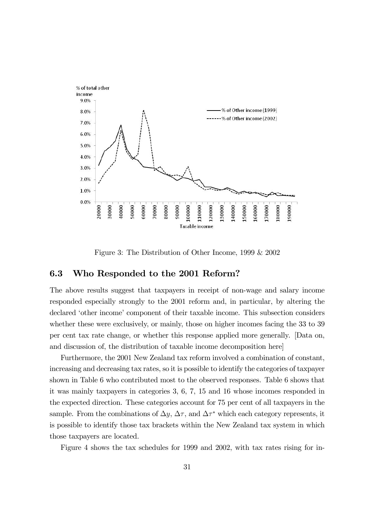

Figure 3: The Distribution of Other Income, 1999 & 2002

### 6.3 Who Responded to the 2001 Reform?

The above results suggest that taxpayers in receipt of non-wage and salary income responded especially strongly to the 2001 reform and, in particular, by altering the declared 'other income' component of their taxable income. This subsection considers whether these were exclusively, or mainly, those on higher incomes facing the 33 to 39 per cent tax rate change, or whether this response applied more generally. [Data on, and discussion of, the distribution of taxable income decomposition here]

Furthermore, the 2001 New Zealand tax reform involved a combination of constant, increasing and decreasing tax rates, so it is possible to identify the categories of taxpayer shown in Table 6 who contributed most to the observed responses. Table 6 shows that it was mainly taxpayers in categories 3, 6, 7, 15 and 16 whose incomes responded in the expected direction. These categories account for 75 per cent of all taxpayers in the sample. From the combinations of  $\Delta y$ ,  $\Delta \tau$ , and  $\Delta \tau^*$  which each category represents, it is possible to identify those tax brackets within the New Zealand tax system in which those taxpayers are located.

Figure 4 shows the tax schedules for 1999 and 2002, with tax rates rising for in-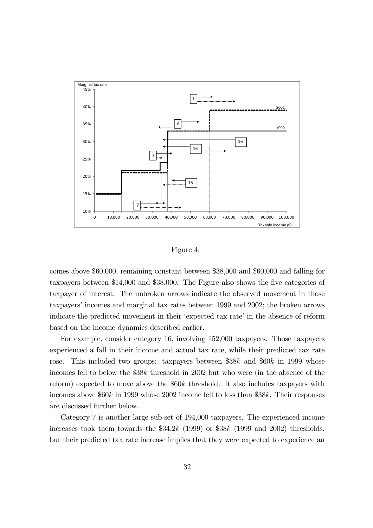

Figure 4:

comes above \$60,000, remaining constant between \$38,000 and \$60,000 and falling for taxpayers between \$14,000 and \$38,000. The Figure also shows the five categories of taxpayer of interest. The unbroken arrows indicate the observed movement in those taxpayers' incomes and marginal tax rates between 1999 and 2002; the broken arrows indicate the predicted movement in their 'expected tax rate' in the absence of reform based on the income dynamics described earlier.

For example, consider category 16, involving 152,000 taxpayers. Those taxpayers experienced a fall in their income and actual tax rate, while their predicted tax rate rose. This included two groups: taxpayers between  $$38k$  and  $$60k$  in 1999 whose incomes fell to below the  $$38k$  threshold in 2002 but who were (in the absence of the reform) expected to move above the  $60k$  threshold. It also includes taxpayers with incomes above  $60k$  in 1999 whose 2002 income fell to less than \$38k. Their responses are discussed further below.

Category 7 is another large sub-set of 194,000 taxpayers. The experienced income increases took them towards the  $$34.2k$  (1999) or  $$38k$  (1999 and 2002) thresholds, but their predicted tax rate increase implies that they were expected to experience an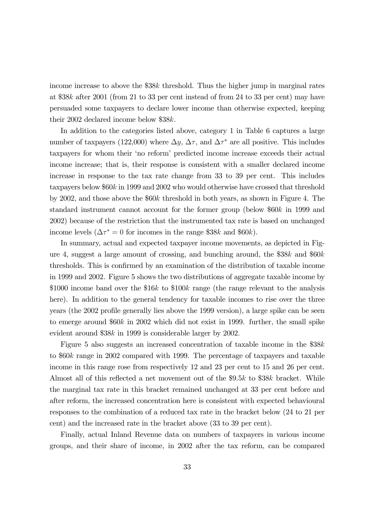income increase to above the  $$38k$  threshold. Thus the higher jump in marginal rates at  $\$38k$  after 2001 (from 21 to 33 per cent instead of from 24 to 33 per cent) may have persuaded some taxpayers to declare lower income than otherwise expected, keeping their 2002 declared income below  $$38k$ .

In addition to the categories listed above, category 1 in Table 6 captures a large number of taxpayers (122,000) where  $\Delta y$ ,  $\Delta \tau$ , and  $\Delta \tau^*$  are all positive. This includes taxpayers for whom their 'no reform' predicted income increase exceeds their actual income increase; that is, their response is consistent with a smaller declared income increase in response to the tax rate change from 33 to 39 per cent. This includes taxpayers below  $60k$  in 1999 and 2002 who would otherwise have crossed that threshold by 2002, and those above the  $660k$  threshold in both years, as shown in Figure 4. The standard instrument cannot account for the former group (below  $60k$  in 1999 and 2002) because of the restriction that the instrumented tax rate is based on unchanged income levels ( $\Delta \tau^* = 0$  for incomes in the range \$38k and \$60k).

In summary, actual and expected taxpayer income movements, as depicted in Figure 4, suggest a large amount of crossing, and bunching around, the  $$38k$  and  $$60k$ thresholds. This is confirmed by an examination of the distribution of taxable income in 1999 and 2002. Figure 5 shows the two distributions of aggregate taxable income by \$1000 income band over the \$16k to \$100k range (the range relevant to the analysis here). In addition to the general tendency for taxable incomes to rise over the three years (the 2002 profile generally lies above the 1999 version), a large spike can be seen to emerge around  $60k$  in 2002 which did not exist in 1999. further, the small spike evident around \$38 $k$  in 1999 is considerable larger by 2002.

Figure 5 also suggests an increased concentration of taxable income in the \$38 to  $60k$  range in 2002 compared with 1999. The percentage of taxpayers and taxable income in this range rose from respectively 12 and 23 per cent to 15 and 26 per cent. Almost all of this reflected a net movement out of the \$9.5k to \$38k bracket. While the marginal tax rate in this bracket remained unchanged at 33 per cent before and after reform, the increased concentration here is consistent with expected behavioural responses to the combination of a reduced tax rate in the bracket below (24 to 21 per cent) and the increased rate in the bracket above (33 to 39 per cent).

Finally, actual Inland Revenue data on numbers of taxpayers in various income groups, and their share of income, in 2002 after the tax reform, can be compared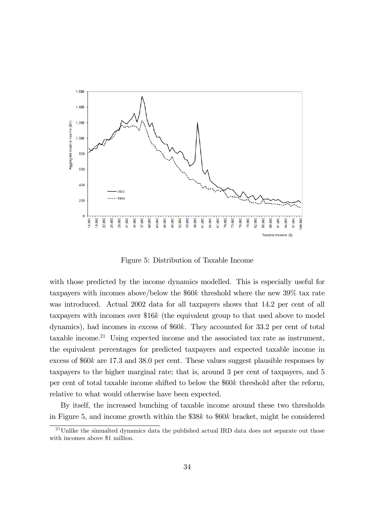

Figure 5: Distribution of Taxable Income

with those predicted by the income dynamics modelled. This is especially useful for taxpayers with incomes above/below the  $$60k$  threshold where the new 39% tax rate was introduced. Actual 2002 data for all taxpayers shows that 14.2 per cent of all taxpayers with incomes over  $$16k$  (the equivalent group to that used above to model dynamics), had incomes in excess of  $60k$ . They accounted for 33.2 per cent of total taxable income.<sup>21</sup> Using expected income and the associated tax rate as instrument, the equivalent percentages for predicted taxpayers and expected taxable income in excess of  $60k$  are 17.3 and 38.0 per cent. These values suggest plausible responses by taxpayers to the higher marginal rate; that is, around 3 per cent of taxpayers, and 5 per cent of total taxable income shifted to below the  $60k$  threshold after the reform, relative to what would otherwise have been expected.

By itself, the increased bunching of taxable income around these two thresholds in Figure 5, and income growth within the  $$38k$  to  $$60k$  bracket, might be considered

 $^{21}$ Unlike the simualted dynamics data the published actual IRD data does not separate out those with incomes above \$1 million.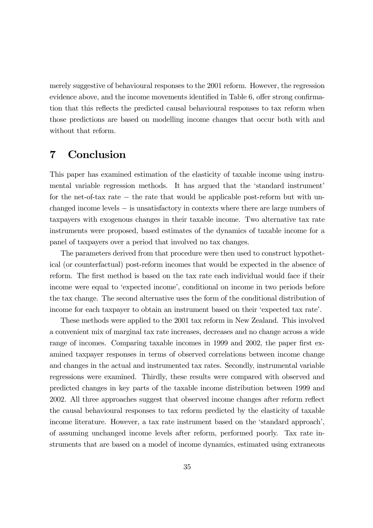merely suggestive of behavioural responses to the 2001 reform. However, the regression evidence above, and the income movements identified in Table 6, offer strong confirmation that this reflects the predicted causal behavioural responses to tax reform when those predictions are based on modelling income changes that occur both with and without that reform.

### 7 Conclusion

This paper has examined estimation of the elasticity of taxable income using instrumental variable regression methods. It has argued that the 'standard instrument' for the net-of-tax rate − the rate that would be applicable post-reform but with unchanged income levels − is unsatisfactory in contexts where there are large numbers of taxpayers with exogenous changes in their taxable income. Two alternative tax rate instruments were proposed, based estimates of the dynamics of taxable income for a panel of taxpayers over a period that involved no tax changes.

The parameters derived from that procedure were then used to construct hypothetical (or counterfactual) post-reform incomes that would be expected in the absence of reform. The first method is based on the tax rate each individual would face if their income were equal to 'expected income', conditional on income in two periods before the tax change. The second alternative uses the form of the conditional distribution of income for each taxpayer to obtain an instrument based on their 'expected tax rate'.

These methods were applied to the 2001 tax reform in New Zealand. This involved a convenient mix of marginal tax rate increases, decreases and no change across a wide range of incomes. Comparing taxable incomes in 1999 and 2002, the paper first examined taxpayer responses in terms of observed correlations between income change and changes in the actual and instrumented tax rates. Secondly, instrumental variable regressions were examined. Thirdly, these results were compared with observed and predicted changes in key parts of the taxable income distribution between 1999 and 2002. All three approaches suggest that observed income changes after reform reflect the causal behavioural responses to tax reform predicted by the elasticity of taxable income literature. However, a tax rate instrument based on the 'standard approach', of assuming unchanged income levels after reform, performed poorly. Tax rate instruments that are based on a model of income dynamics, estimated using extraneous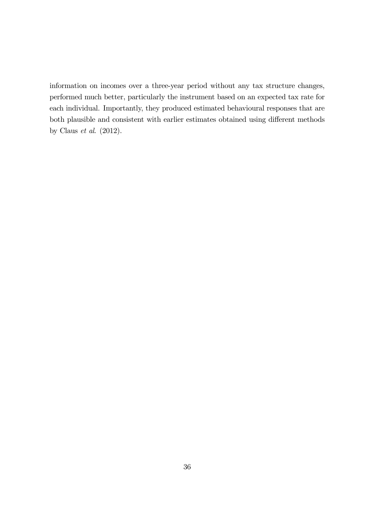information on incomes over a three-year period without any tax structure changes, performed much better, particularly the instrument based on an expected tax rate for each individual. Importantly, they produced estimated behavioural responses that are both plausible and consistent with earlier estimates obtained using different methods by Claus  $et \ al.$  (2012).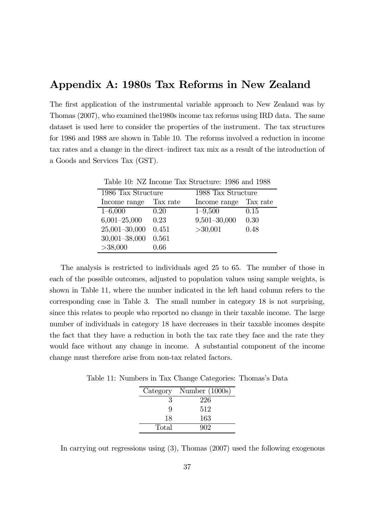### Appendix A: 1980s Tax Reforms in New Zealand

The first application of the instrumental variable approach to New Zealand was by Thomas (2007), who examined the1980s income tax reforms using IRD data. The same dataset is used here to consider the properties of the instrument. The tax structures for 1986 and 1988 are shown in Table 10. The reforms involved a reduction in income tax rates and a change in the direct—indirect tax mix as a result of the introduction of a Goods and Services Tax (GST).

| Table 10: NZ Income Tax Structure: 1986 and 1988 |          |                    |          |  |  |
|--------------------------------------------------|----------|--------------------|----------|--|--|
| 1986 Tax Structure                               |          | 1988 Tax Structure |          |  |  |
| Income range                                     | Tax rate | Income range       | Tax rate |  |  |
| $1 - 6,000$                                      | 0.20     | $1 - 9,500$        | 0.15     |  |  |
| $6,001 - 25,000$                                 | 0.23     | $9,501 - 30,000$   | 0.30     |  |  |
| $25,001 - 30,000$                                | 0.451    | >30,001            | 0.48     |  |  |
| $30,001 - 38,000$                                | 0.561    |                    |          |  |  |
| >38,000                                          | 0.66     |                    |          |  |  |

Table 10: NZ Income Tax Structure: 1986 and 1988

The analysis is restricted to individuals aged 25 to 65. The number of those in each of the possible outcomes, adjusted to population values using sample weights, is shown in Table 11, where the number indicated in the left hand column refers to the corresponding case in Table 3. The small number in category 18 is not surprising, since this relates to people who reported no change in their taxable income. The large number of individuals in category 18 have decreases in their taxable incomes despite the fact that they have a reduction in both the tax rate they face and the rate they would face without any change in income. A substantial component of the income change must therefore arise from non-tax related factors.

Table 11: Numbers in Tax Change Categories: Thomas's Data

| Category | Number $(1000s)$ |
|----------|------------------|
| 3        | 226              |
| Q        | 512              |
| 18       | 163              |
| Total    | 902              |

In carrying out regressions using (3), Thomas (2007) used the following exogenous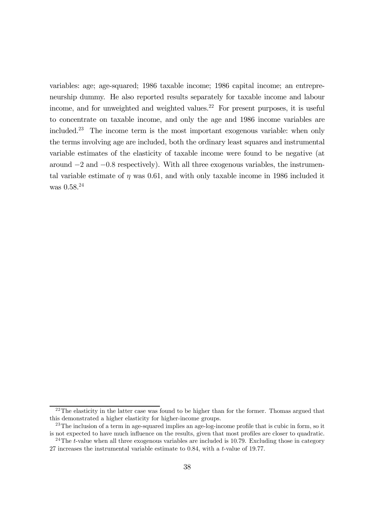variables: age; age-squared; 1986 taxable income; 1986 capital income; an entrepreneurship dummy. He also reported results separately for taxable income and labour income, and for unweighted and weighted values.<sup>22</sup> For present purposes, it is useful to concentrate on taxable income, and only the age and 1986 income variables are included.23 The income term is the most important exogenous variable: when only the terms involving age are included, both the ordinary least squares and instrumental variable estimates of the elasticity of taxable income were found to be negative (at around −2 and −08 respectively). With all three exogenous variables, the instrumental variable estimate of  $\eta$  was 0.61, and with only taxable income in 1986 included it was  $0.58^{24}$ 

<sup>&</sup>lt;sup>22</sup>The elasticity in the latter case was found to be higher than for the former. Thomas argued that this demonstrated a higher elasticity for higher-income groups.

<sup>&</sup>lt;sup>23</sup>The inclusion of a term in age-squared implies an age-log-income profile that is cubic in form, so it is not expected to have much influence on the results, given that most profiles are closer to quadratic.

<sup>&</sup>lt;sup>24</sup>The *t*-value when all three exogenous variables are included is 10.79. Excluding those in category 27 increases the instrumental variable estimate to  $0.84$ , with a t-value of 19.77.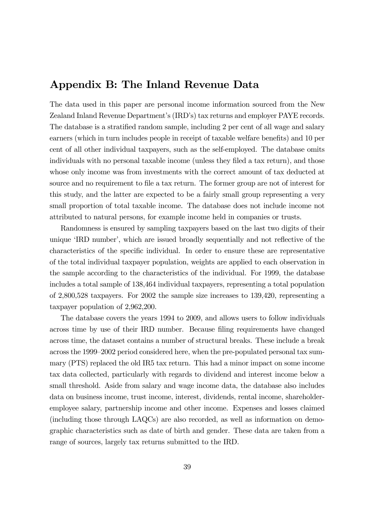## Appendix B: The Inland Revenue Data

The data used in this paper are personal income information sourced from the New Zealand Inland Revenue Department's (IRD's) tax returns and employer PAYE records. The database is a stratified random sample, including 2 per cent of all wage and salary earners (which in turn includes people in receipt of taxable welfare benefits) and 10 per cent of all other individual taxpayers, such as the self-employed. The database omits individuals with no personal taxable income (unless they filed a tax return), and those whose only income was from investments with the correct amount of tax deducted at source and no requirement to file a tax return. The former group are not of interest for this study, and the latter are expected to be a fairly small group representing a very small proportion of total taxable income. The database does not include income not attributed to natural persons, for example income held in companies or trusts.

Randomness is ensured by sampling taxpayers based on the last two digits of their unique 'IRD number', which are issued broadly sequentially and not reflective of the characteristics of the specific individual. In order to ensure these are representative of the total individual taxpayer population, weights are applied to each observation in the sample according to the characteristics of the individual. For 1999, the database includes a total sample of 138,464 individual taxpayers, representing a total population of 2,800,528 taxpayers. For 2002 the sample size increases to 139,420, representing a taxpayer population of 2,962,200.

The database covers the years 1994 to 2009, and allows users to follow individuals across time by use of their IRD number. Because filing requirements have changed across time, the dataset contains a number of structural breaks. These include a break across the 1999—2002 period considered here, when the pre-populated personal tax summary (PTS) replaced the old IR5 tax return. This had a minor impact on some income tax data collected, particularly with regards to dividend and interest income below a small threshold. Aside from salary and wage income data, the database also includes data on business income, trust income, interest, dividends, rental income, shareholderemployee salary, partnership income and other income. Expenses and losses claimed (including those through LAQCs) are also recorded, as well as information on demographic characteristics such as date of birth and gender. These data are taken from a range of sources, largely tax returns submitted to the IRD.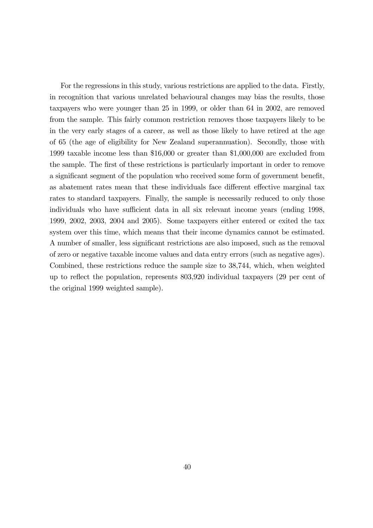For the regressions in this study, various restrictions are applied to the data. Firstly, in recognition that various unrelated behavioural changes may bias the results, those taxpayers who were younger than 25 in 1999, or older than 64 in 2002, are removed from the sample. This fairly common restriction removes those taxpayers likely to be in the very early stages of a career, as well as those likely to have retired at the age of 65 (the age of eligibility for New Zealand superannuation). Secondly, those with 1999 taxable income less than \$16,000 or greater than \$1,000,000 are excluded from the sample. The first of these restrictions is particularly important in order to remove a significant segment of the population who received some form of government benefit, as abatement rates mean that these individuals face different effective marginal tax rates to standard taxpayers. Finally, the sample is necessarily reduced to only those individuals who have sufficient data in all six relevant income years (ending 1998, 1999, 2002, 2003, 2004 and 2005). Some taxpayers either entered or exited the tax system over this time, which means that their income dynamics cannot be estimated. A number of smaller, less significant restrictions are also imposed, such as the removal of zero or negative taxable income values and data entry errors (such as negative ages). Combined, these restrictions reduce the sample size to 38,744, which, when weighted up to reflect the population, represents 803,920 individual taxpayers (29 per cent of the original 1999 weighted sample).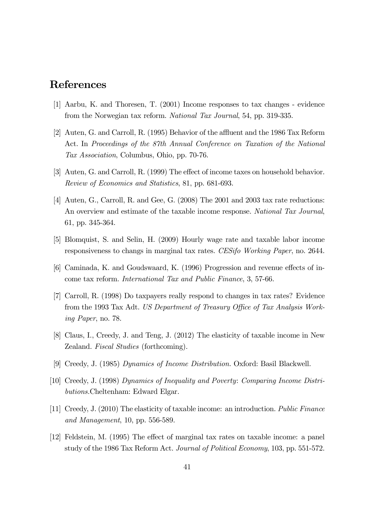# References

- [1] Aarbu, K. and Thoresen, T. (2001) Income responses to tax changes evidence from the Norwegian tax reform. National Tax Journal, 54, pp. 319-335.
- [2] Auten, G. and Carroll, R. (1995) Behavior of the affluent and the 1986 Tax Reform Act. In Proceedings of the 87th Annual Conference on Taxation of the National Tax Association, Columbus, Ohio, pp. 70-76.
- [3] Auten, G. and Carroll, R. (1999) The effect of income taxes on household behavior. Review of Economics and Statistics, 81, pp. 681-693.
- [4] Auten, G., Carroll, R. and Gee, G. (2008) The 2001 and 2003 tax rate reductions: An overview and estimate of the taxable income response. National Tax Journal, 61, pp. 345-364.
- [5] Blomquist, S. and Selin, H. (2009) Hourly wage rate and taxable labor income responsiveness to changs in marginal tax rates. CESifo Working Paper, no. 2644.
- [6] Caminada, K. and Goudswaard, K. (1996) Progression and revenue effects of income tax reform. International Tax and Public Finance, 3, 57-66.
- [7] Carroll, R. (1998) Do taxpayers really respond to changes in tax rates? Evidence from the 1993 Tax Adt. US Department of Treasury Office of Tax Analysis Working Paper, no. 78.
- [8] Claus, I., Creedy, J. and Teng, J. (2012) The elasticity of taxable income in New Zealand. Fiscal Studies (forthcoming).
- [9] Creedy, J. (1985) Dynamics of Income Distribution. Oxford: Basil Blackwell.
- [10] Creedy, J. (1998) Dynamics of Inequality and Poverty: Comparing Income Distributions.Cheltenham: Edward Elgar.
- [11] Creedy, J. (2010) The elasticity of taxable income: an introduction. Public Finance and Management, 10, pp. 556-589.
- [12] Feldstein, M. (1995) The effect of marginal tax rates on taxable income: a panel study of the 1986 Tax Reform Act. Journal of Political Economy, 103, pp. 551-572.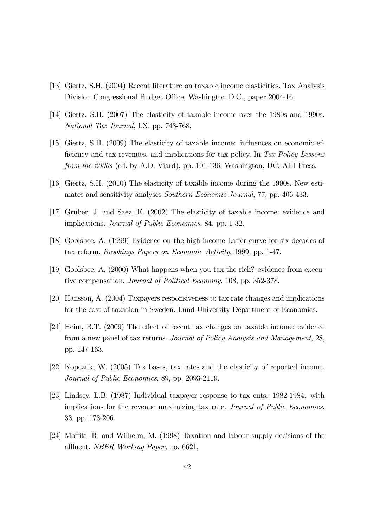- [13] Giertz, S.H. (2004) Recent literature on taxable income elasticities. Tax Analysis Division Congressional Budget Office, Washington D.C., paper 2004-16.
- [14] Giertz, S.H. (2007) The elasticity of taxable income over the 1980s and 1990s. National Tax Journal, LX, pp. 743-768.
- [15] Giertz, S.H. (2009) The elasticity of taxable income: influences on economic efficiency and tax revenues, and implications for tax policy. In Tax Policy Lessons from the 2000s (ed. by A.D. Viard), pp. 101-136. Washington, DC: AEI Press.
- [16] Giertz, S.H. (2010) The elasticity of taxable income during the 1990s. New estimates and sensitivity analyses Southern Economic Journal, 77, pp. 406-433.
- [17] Gruber, J. and Saez, E. (2002) The elasticity of taxable income: evidence and implications. Journal of Public Economics, 84, pp. 1-32.
- [18] Goolsbee, A. (1999) Evidence on the high-income Laffer curve for six decades of tax reform. Brookings Papers on Economic Activity, 1999, pp. 1-47.
- [19] Goolsbee, A. (2000) What happens when you tax the rich? evidence from executive compensation. Journal of Political Economy, 108, pp. 352-378.
- [20] Hansson, Å. (2004) Taxpayers responsiveness to tax rate changes and implications for the cost of taxation in Sweden. Lund University Department of Economics.
- [21] Heim, B.T. (2009) The effect of recent tax changes on taxable income: evidence from a new panel of tax returns. Journal of Policy Analysis and Management, 28, pp. 147-163.
- [22] Kopczuk, W. (2005) Tax bases, tax rates and the elasticity of reported income. Journal of Public Economics, 89, pp. 2093-2119.
- [23] Lindsey, L.B. (1987) Individual taxpayer response to tax cuts: 1982-1984: with implications for the revenue maximizing tax rate. Journal of Public Economics, 33, pp. 173-206.
- [24] Moffitt, R. and Wilhelm, M. (1998) Taxation and labour supply decisions of the affluent. NBER Working Paper, no. 6621,